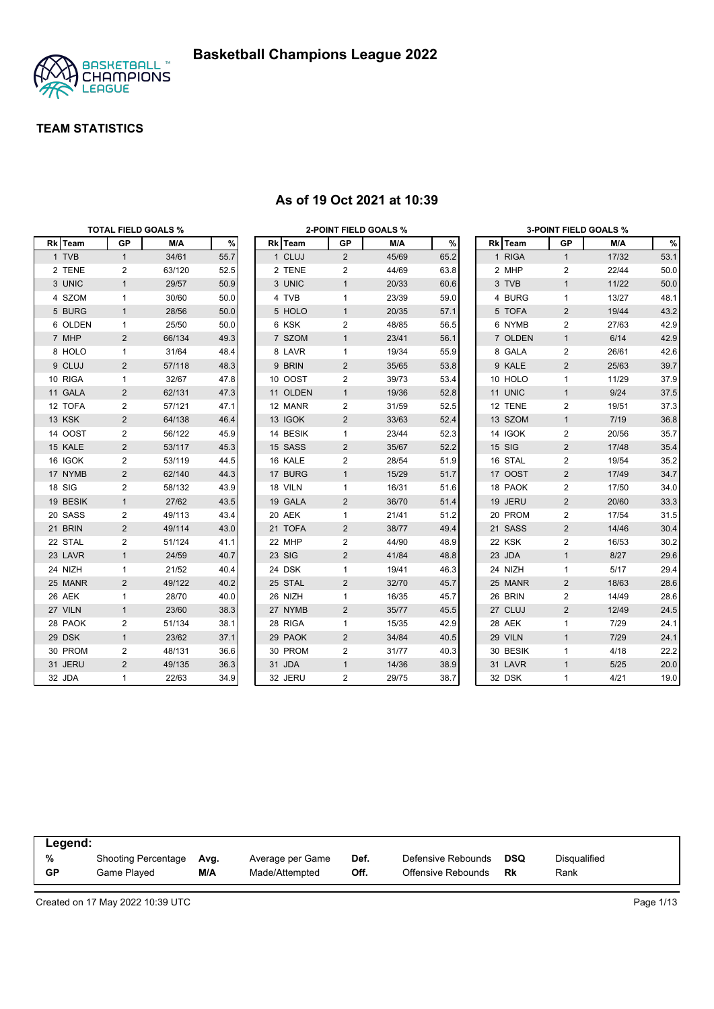

|          | <b>TOTAL FIELD GOALS %</b> |        |      |          |                         | 2-POINT FIELD GOALS % |      |          |                | 3-POINT FIELD GOALS % |      |
|----------|----------------------------|--------|------|----------|-------------------------|-----------------------|------|----------|----------------|-----------------------|------|
| Rk Team  | <b>GP</b>                  | M/A    | $\%$ | Rk Team  | GP                      | M/A                   | $\%$ | Rk Team  | GP             | M/A                   | $\%$ |
| 1 TVB    | $\mathbf{1}$               | 34/61  | 55.7 | 1 CLUJ   | $\overline{2}$          | 45/69                 | 65.2 | 1 RIGA   | $\mathbf{1}$   | 17/32                 | 53.1 |
| 2 TENE   | 2                          | 63/120 | 52.5 | 2 TENE   | 2                       | 44/69                 | 63.8 | 2 MHP    | 2              | 22/44                 | 50.0 |
| 3 UNIC   | $\mathbf{1}$               | 29/57  | 50.9 | 3 UNIC   | $\mathbf{1}$            | 20/33                 | 60.6 | 3 TVB    | $\mathbf{1}$   | 11/22                 | 50.0 |
| 4 SZOM   | $\mathbf{1}$               | 30/60  | 50.0 | 4 TVB    | $\mathbf{1}$            | 23/39                 | 59.0 | 4 BURG   | 1              | 13/27                 | 48.1 |
| 5 BURG   | $\mathbf{1}$               | 28/56  | 50.0 | 5 HOLO   | $\mathbf{1}$            | 20/35                 | 57.1 | 5 TOFA   | $\overline{2}$ | 19/44                 | 43.2 |
| 6 OLDEN  | $\mathbf{1}$               | 25/50  | 50.0 | 6 KSK    | 2                       | 48/85                 | 56.5 | 6 NYMB   | $\overline{2}$ | 27/63                 | 42.9 |
| 7 MHP    | $\overline{2}$             | 66/134 | 49.3 | 7 SZOM   | $\mathbf{1}$            | 23/41                 | 56.1 | 7 OLDEN  | $\mathbf{1}$   | 6/14                  | 42.9 |
| 8 HOLO   | $\mathbf{1}$               | 31/64  | 48.4 | 8 LAVR   | 1                       | 19/34                 | 55.9 | 8 GALA   | 2              | 26/61                 | 42.6 |
| 9 CLUJ   | $\overline{2}$             | 57/118 | 48.3 | 9 BRIN   | $\overline{a}$          | 35/65                 | 53.8 | 9 KALE   | 2              | 25/63                 | 39.7 |
| 10 RIGA  | $\mathbf{1}$               | 32/67  | 47.8 | 10 OOST  | $\overline{\mathbf{c}}$ | 39/73                 | 53.4 | 10 HOLO  | $\mathbf{1}$   | 11/29                 | 37.9 |
| 11 GALA  | 2                          | 62/131 | 47.3 | 11 OLDEN | $\mathbf{1}$            | 19/36                 | 52.8 | 11 UNIC  | $\mathbf{1}$   | 9/24                  | 37.5 |
| 12 TOFA  | 2                          | 57/121 | 47.1 | 12 MANR  | 2                       | 31/59                 | 52.5 | 12 TENE  | 2              | 19/51                 | 37.3 |
| 13 KSK   | 2                          | 64/138 | 46.4 | 13 IGOK  | $\overline{2}$          | 33/63                 | 52.4 | 13 SZOM  | $\mathbf{1}$   | 7/19                  | 36.8 |
| 14 OOST  | 2                          | 56/122 | 45.9 | 14 BESIK | $\mathbf{1}$            | 23/44                 | 52.3 | 14 IGOK  | $\overline{2}$ | 20/56                 | 35.7 |
| 15 KALE  | $\overline{2}$             | 53/117 | 45.3 | 15 SASS  | $\overline{2}$          | 35/67                 | 52.2 | 15 SIG   | $\overline{c}$ | 17/48                 | 35.4 |
| 16 IGOK  | 2                          | 53/119 | 44.5 | 16 KALE  | $\overline{2}$          | 28/54                 | 51.9 | 16 STAL  | 2              | 19/54                 | 35.2 |
| 17 NYMB  | 2                          | 62/140 | 44.3 | 17 BURG  | $\mathbf{1}$            | 15/29                 | 51.7 | 17 OOST  | $\overline{2}$ | 17/49                 | 34.7 |
| 18 SIG   | 2                          | 58/132 | 43.9 | 18 VILN  | $\mathbf{1}$            | 16/31                 | 51.6 | 18 PAOK  | $\overline{2}$ | 17/50                 | 34.0 |
| 19 BESIK | $\mathbf{1}$               | 27/62  | 43.5 | 19 GALA  | $\overline{2}$          | 36/70                 | 51.4 | 19 JERU  | $\overline{2}$ | 20/60                 | 33.3 |
| 20 SASS  | 2                          | 49/113 | 43.4 | 20 AEK   | $\mathbf{1}$            | 21/41                 | 51.2 | 20 PROM  | 2              | 17/54                 | 31.5 |
| 21 BRIN  | $\overline{2}$             | 49/114 | 43.0 | 21 TOFA  | $\overline{2}$          | 38/77                 | 49.4 | 21 SASS  | $\overline{2}$ | 14/46                 | 30.4 |
| 22 STAL  | 2                          | 51/124 | 41.1 | 22 MHP   | $\overline{2}$          | 44/90                 | 48.9 | 22 KSK   | 2              | 16/53                 | 30.2 |
| 23 LAVR  | $\mathbf{1}$               | 24/59  | 40.7 | 23 SIG   | $\overline{2}$          | 41/84                 | 48.8 | 23 JDA   | $\mathbf{1}$   | 8/27                  | 29.6 |
| 24 NIZH  | $\mathbf{1}$               | 21/52  | 40.4 | 24 DSK   | $\mathbf{1}$            | 19/41                 | 46.3 | 24 NIZH  | $\mathbf{1}$   | 5/17                  | 29.4 |
| 25 MANR  | 2                          | 49/122 | 40.2 | 25 STAL  | $\overline{2}$          | 32/70                 | 45.7 | 25 MANR  | $\overline{2}$ | 18/63                 | 28.6 |
| 26 AEK   | $\mathbf{1}$               | 28/70  | 40.0 | 26 NIZH  | $\mathbf{1}$            | 16/35                 | 45.7 | 26 BRIN  | $\overline{2}$ | 14/49                 | 28.6 |
| 27 VILN  | $\mathbf{1}$               | 23/60  | 38.3 | 27 NYMB  | $\overline{2}$          | 35/77                 | 45.5 | 27 CLUJ  | $\overline{2}$ | 12/49                 | 24.5 |
| 28 PAOK  | $\overline{2}$             | 51/134 | 38.1 | 28 RIGA  | $\mathbf{1}$            | 15/35                 | 42.9 | 28 AEK   | $\mathbf{1}$   | 7/29                  | 24.1 |
| 29 DSK   | $\mathbf{1}$               | 23/62  | 37.1 | 29 PAOK  | $\overline{2}$          | 34/84                 | 40.5 | 29 VILN  | $\mathbf{1}$   | 7/29                  | 24.1 |
| 30 PROM  | 2                          | 48/131 | 36.6 | 30 PROM  | $\overline{2}$          | 31/77                 | 40.3 | 30 BESIK | $\mathbf{1}$   | 4/18                  | 22.2 |
| 31 JERU  | 2                          | 49/135 | 36.3 | 31 JDA   | $\mathbf{1}$            | 14/36                 | 38.9 | 31 LAVR  | $\mathbf{1}$   | 5/25                  | 20.0 |
| 32 JDA   | $\mathbf{1}$               | 22/63  | 34.9 | 32 JERU  | 2                       | 29/75                 | 38.7 | 32 DSK   | $\mathbf{1}$   | 4/21                  | 19.0 |

#### **As of 19 Oct 2021 at 10:39**

| Legend:   |                            |      |                  |      |                    |     |              |  |
|-----------|----------------------------|------|------------------|------|--------------------|-----|--------------|--|
| %         | <b>Shooting Percentage</b> | Avg. | Average per Game | Def. | Defensive Rebounds | DSQ | Disqualified |  |
| <b>GP</b> | Game Plaved                | M/A  | Made/Attempted   | Off. | Offensive Rebounds | Rk  | Rank         |  |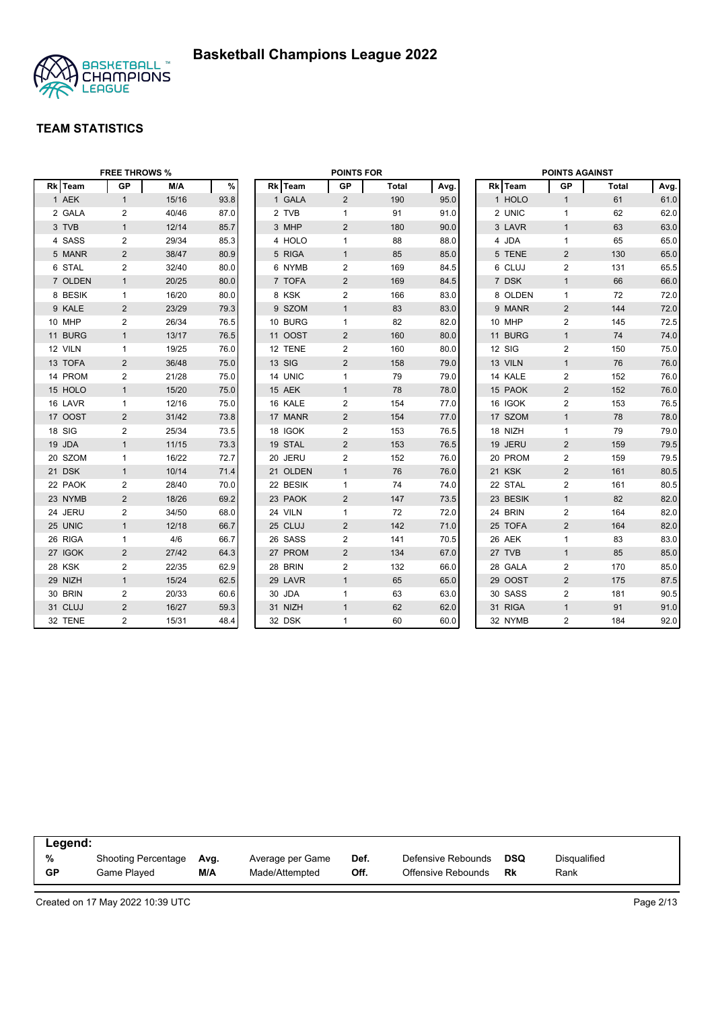

|         | <b>FREE THROWS %</b> |       |      |               | <b>POINTS FOR</b> |              |      |          | <b>POINTS AGAINST</b> |              |      |
|---------|----------------------|-------|------|---------------|-------------------|--------------|------|----------|-----------------------|--------------|------|
| Rk Team | <b>GP</b>            | M/A   | $\%$ | Rk Team       | GP                | <b>Total</b> | Avg. | Rk Team  | GP                    | <b>Total</b> | Avg. |
| 1 AEK   | $\mathbf{1}$         | 15/16 | 93.8 | 1 GALA        | $\overline{2}$    | 190          | 95.0 | 1 HOLO   | $\mathbf{1}$          | 61           | 61.0 |
| 2 GALA  | $\overline{2}$       | 40/46 | 87.0 | 2 TVB         | $\mathbf{1}$      | 91           | 91.0 | 2 UNIC   | $\mathbf{1}$          | 62           | 62.0 |
| 3 TVB   | $\mathbf{1}$         | 12/14 | 85.7 | 3 MHP         | $\overline{2}$    | 180          | 90.0 | 3 LAVR   | $\mathbf{1}$          | 63           | 63.0 |
| 4 SASS  | $\overline{2}$       | 29/34 | 85.3 | 4 HOLO        | $\mathbf{1}$      | 88           | 88.0 | 4 JDA    | $\mathbf{1}$          | 65           | 65.0 |
| 5 MANR  | 2                    | 38/47 | 80.9 | 5 RIGA        | $\mathbf{1}$      | 85           | 85.0 | 5 TENE   | $\overline{2}$        | 130          | 65.0 |
| 6 STAL  | 2                    | 32/40 | 80.0 | 6 NYMB        | 2                 | 169          | 84.5 | 6 CLUJ   | $\overline{2}$        | 131          | 65.5 |
| 7 OLDEN | $\mathbf{1}$         | 20/25 | 80.0 | 7 TOFA        | $\overline{2}$    | 169          | 84.5 | 7 DSK    | $\mathbf{1}$          | 66           | 66.0 |
| 8 BESIK | $\mathbf{1}$         | 16/20 | 80.0 | 8 KSK         | $\overline{2}$    | 166          | 83.0 | 8 OLDEN  | $\mathbf{1}$          | 72           | 72.0 |
| 9 KALE  | $\overline{2}$       | 23/29 | 79.3 | 9 SZOM        | $\mathbf{1}$      | 83           | 83.0 | 9 MANR   | $\overline{2}$        | 144          | 72.0 |
| 10 MHP  | $\overline{2}$       | 26/34 | 76.5 | 10 BURG       | $\mathbf{1}$      | 82           | 82.0 | 10 MHP   | $\overline{2}$        | 145          | 72.5 |
| 11 BURG | $\mathbf{1}$         | 13/17 | 76.5 | 11 OOST       | $\overline{2}$    | 160          | 80.0 | 11 BURG  | $\mathbf{1}$          | 74           | 74.0 |
| 12 VILN | $\mathbf{1}$         | 19/25 | 76.0 | 12 TENE       | 2                 | 160          | 80.0 | 12 SIG   | 2                     | 150          | 75.0 |
| 13 TOFA | 2                    | 36/48 | 75.0 | <b>13 SIG</b> | $\overline{2}$    | 158          | 79.0 | 13 VILN  | $\mathbf{1}$          | 76           | 76.0 |
| 14 PROM | $\overline{2}$       | 21/28 | 75.0 | 14 UNIC       | $\mathbf{1}$      | 79           | 79.0 | 14 KALE  | 2                     | 152          | 76.0 |
| 15 HOLO | $\mathbf{1}$         | 15/20 | 75.0 | 15 AEK        | $\mathbf{1}$      | 78           | 78.0 | 15 PAOK  | $\overline{2}$        | 152          | 76.0 |
| 16 LAVR | $\mathbf{1}$         | 12/16 | 75.0 | 16 KALE       | 2                 | 154          | 77.0 | 16 IGOK  | $\overline{2}$        | 153          | 76.5 |
| 17 OOST | $\overline{2}$       | 31/42 | 73.8 | 17 MANR       | $\overline{2}$    | 154          | 77.0 | 17 SZOM  | $\mathbf{1}$          | 78           | 78.0 |
| 18 SIG  | $\overline{2}$       | 25/34 | 73.5 | 18 IGOK       | 2                 | 153          | 76.5 | 18 NIZH  | $\mathbf{1}$          | 79           | 79.0 |
| 19 JDA  | $\mathbf{1}$         | 11/15 | 73.3 | 19 STAL       | $\overline{2}$    | 153          | 76.5 | 19 JERU  | $\overline{2}$        | 159          | 79.5 |
| 20 SZOM | $\mathbf{1}$         | 16/22 | 72.7 | 20 JERU       | $\overline{c}$    | 152          | 76.0 | 20 PROM  | $\overline{2}$        | 159          | 79.5 |
| 21 DSK  | $\mathbf{1}$         | 10/14 | 71.4 | 21 OLDEN      | $\mathbf{1}$      | 76           | 76.0 | 21 KSK   | $\overline{2}$        | 161          | 80.5 |
| 22 PAOK | $\overline{2}$       | 28/40 | 70.0 | 22 BESIK      | 1                 | 74           | 74.0 | 22 STAL  | $\sqrt{2}$            | 161          | 80.5 |
| 23 NYMB | 2                    | 18/26 | 69.2 | 23 PAOK       | $\overline{2}$    | 147          | 73.5 | 23 BESIK | $\mathbf{1}$          | 82           | 82.0 |
| 24 JERU | $\overline{2}$       | 34/50 | 68.0 | 24 VILN       | $\mathbf{1}$      | 72           | 72.0 | 24 BRIN  | 2                     | 164          | 82.0 |
| 25 UNIC | $\mathbf{1}$         | 12/18 | 66.7 | 25 CLUJ       | $\overline{2}$    | 142          | 71.0 | 25 TOFA  | $\overline{2}$        | 164          | 82.0 |
| 26 RIGA | 1                    | 4/6   | 66.7 | 26 SASS       | $\overline{2}$    | 141          | 70.5 | 26 AEK   | $\mathbf{1}$          | 83           | 83.0 |
| 27 IGOK | 2                    | 27/42 | 64.3 | 27 PROM       | $\overline{2}$    | 134          | 67.0 | 27 TVB   | $\mathbf{1}$          | 85           | 85.0 |
| 28 KSK  | 2                    | 22/35 | 62.9 | 28 BRIN       | $\overline{2}$    | 132          | 66.0 | 28 GALA  | 2                     | 170          | 85.0 |
| 29 NIZH | $\mathbf{1}$         | 15/24 | 62.5 | 29 LAVR       | $\mathbf{1}$      | 65           | 65.0 | 29 OOST  | $\overline{2}$        | 175          | 87.5 |
| 30 BRIN | 2                    | 20/33 | 60.6 | 30 JDA        | $\mathbf{1}$      | 63           | 63.0 | 30 SASS  | $\overline{2}$        | 181          | 90.5 |
| 31 CLUJ | 2                    | 16/27 | 59.3 | 31 NIZH       | $\mathbf{1}$      | 62           | 62.0 | 31 RIGA  | $\mathbf{1}$          | 91           | 91.0 |
| 32 TENE | $\overline{2}$       | 15/31 | 48.4 | 32 DSK        | 1                 | 60           | 60.0 | 32 NYMB  | 2                     | 184          | 92.0 |

| Legend: |                     |      |                  |      |                    |     |              |
|---------|---------------------|------|------------------|------|--------------------|-----|--------------|
| %       | Shooting Percentage | Avg. | Average per Game | Def. | Defensive Rebounds | DSQ | Disgualified |
| GP      | Game Plaved         | M/A  | Made/Attempted   | Off. | Offensive Rebounds | Rk  | Rank         |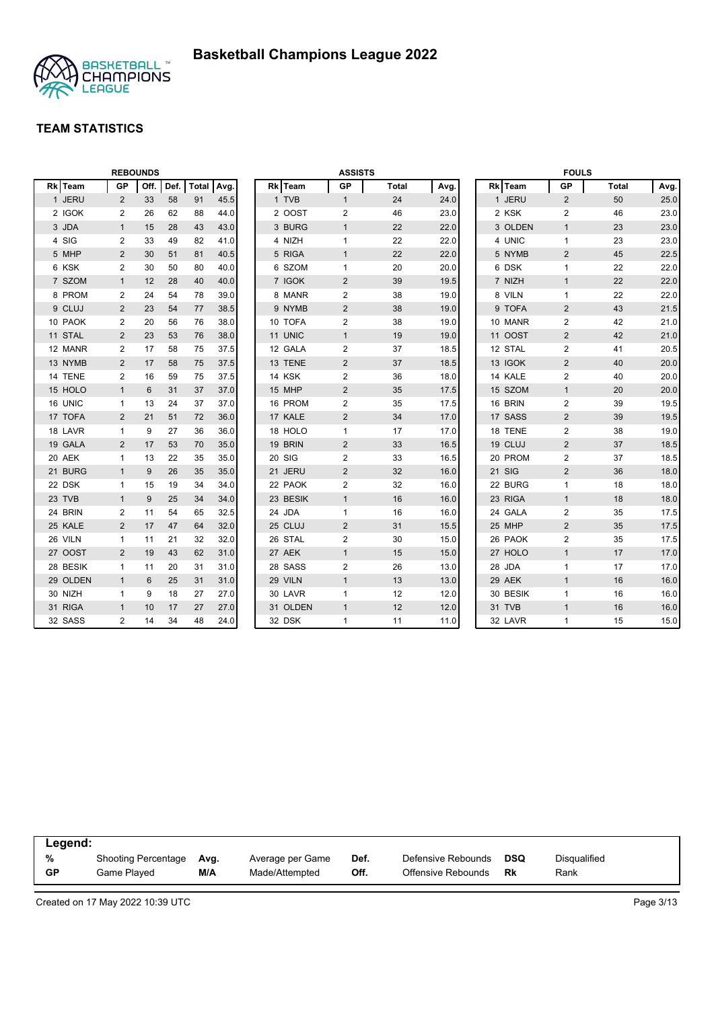

|          |                | <b>REBOUNDS</b> |      |              |      |          | <b>ASSISTS</b> |              |      |          | <b>FOULS</b>            |              |      |
|----------|----------------|-----------------|------|--------------|------|----------|----------------|--------------|------|----------|-------------------------|--------------|------|
| Rk Team  | <b>GP</b>      | Off.            | Def. | <b>Total</b> | Avg. | Rk Team  | <b>GP</b>      | <b>Total</b> | Avg. | Rk Team  | <b>GP</b>               | <b>Total</b> | Avg. |
| 1 JERU   | $\overline{2}$ | 33              | 58   | 91           | 45.5 | 1 TVB    | 1              | 24           | 24.0 | 1 JERU   | $\overline{2}$          | 50           | 25.0 |
| 2 IGOK   | 2              | 26              | 62   | 88           | 44.0 | 2 OOST   | $\overline{2}$ | 46           | 23.0 | 2 KSK    | $\overline{2}$          | 46           | 23.0 |
| 3 JDA    | $\mathbf{1}$   | 15              | 28   | 43           | 43.0 | 3 BURG   | $\mathbf{1}$   | 22           | 22.0 | 3 OLDEN  | $\mathbf{1}$            | 23           | 23.0 |
| 4 SIG    | 2              | 33              | 49   | 82           | 41.0 | 4 NIZH   | $\mathbf{1}$   | 22           | 22.0 | 4 UNIC   | $\mathbf{1}$            | 23           | 23.0 |
| 5 MHP    | $\overline{2}$ | 30              | 51   | 81           | 40.5 | 5 RIGA   | $\mathbf{1}$   | 22           | 22.0 | 5 NYMB   | 2                       | 45           | 22.5 |
| 6 KSK    | 2              | 30              | 50   | 80           | 40.0 | 6 SZOM   | $\mathbf{1}$   | 20           | 20.0 | 6 DSK    | $\mathbf{1}$            | 22           | 22.0 |
| 7 SZOM   | $\mathbf{1}$   | 12              | 28   | 40           | 40.0 | 7 IGOK   | $\overline{2}$ | 39           | 19.5 | 7 NIZH   | $\mathbf{1}$            | 22           | 22.0 |
| 8 PROM   | 2              | 24              | 54   | 78           | 39.0 | 8 MANR   | $\overline{2}$ | 38           | 19.0 | 8 VILN   | $\mathbf{1}$            | 22           | 22.0 |
| 9 CLUJ   | $\overline{c}$ | 23              | 54   | 77           | 38.5 | 9 NYMB   | $\overline{a}$ | 38           | 19.0 | 9 TOFA   | $\overline{c}$          | 43           | 21.5 |
| 10 PAOK  | 2              | 20              | 56   | 76           | 38.0 | 10 TOFA  | $\overline{2}$ | 38           | 19.0 | 10 MANR  | $\overline{c}$          | 42           | 21.0 |
| 11 STAL  | $\overline{2}$ | 23              | 53   | 76           | 38.0 | 11 UNIC  | $\mathbf{1}$   | 19           | 19.0 | 11 OOST  | 2                       | 42           | 21.0 |
| 12 MANR  | 2              | 17              | 58   | 75           | 37.5 | 12 GALA  | $\overline{2}$ | 37           | 18.5 | 12 STAL  | $\overline{2}$          | 41           | 20.5 |
| 13 NYMB  | $\overline{2}$ | 17              | 58   | 75           | 37.5 | 13 TENE  | $\overline{a}$ | 37           | 18.5 | 13 IGOK  | $\overline{c}$          | 40           | 20.0 |
| 14 TENE  | 2              | 16              | 59   | 75           | 37.5 | 14 KSK   | $\overline{2}$ | 36           | 18.0 | 14 KALE  | 2                       | 40           | 20.0 |
| 15 HOLO  | $\mathbf{1}$   | 6               | 31   | 37           | 37.0 | 15 MHP   | $\overline{a}$ | 35           | 17.5 | 15 SZOM  | $\mathbf{1}$            | 20           | 20.0 |
| 16 UNIC  | 1              | 13              | 24   | 37           | 37.0 | 16 PROM  | $\overline{2}$ | 35           | 17.5 | 16 BRIN  | 2                       | 39           | 19.5 |
| 17 TOFA  | 2              | 21              | 51   | 72           | 36.0 | 17 KALE  | $\overline{2}$ | 34           | 17.0 | 17 SASS  | $\overline{2}$          | 39           | 19.5 |
| 18 LAVR  | 1              | 9               | 27   | 36           | 36.0 | 18 HOLO  | $\mathbf{1}$   | 17           | 17.0 | 18 TENE  | 2                       | 38           | 19.0 |
| 19 GALA  | 2              | 17              | 53   | 70           | 35.0 | 19 BRIN  | $\overline{2}$ | 33           | 16.5 | 19 CLUJ  | $\overline{2}$          | 37           | 18.5 |
| 20 AEK   | 1              | 13              | 22   | 35           | 35.0 | 20 SIG   | $\overline{2}$ | 33           | 16.5 | 20 PROM  | $\overline{2}$          | 37           | 18.5 |
| 21 BURG  | $\mathbf{1}$   | 9               | 26   | 35           | 35.0 | 21 JERU  | $\overline{2}$ | 32           | 16.0 | 21 SIG   | $\overline{2}$          | 36           | 18.0 |
| 22 DSK   | 1              | 15              | 19   | 34           | 34.0 | 22 PAOK  | $\overline{c}$ | 32           | 16.0 | 22 BURG  | $\mathbf{1}$            | 18           | 18.0 |
| 23 TVB   | $\mathbf{1}$   | 9               | 25   | 34           | 34.0 | 23 BESIK | $\mathbf{1}$   | 16           | 16.0 | 23 RIGA  | $\mathbf{1}$            | 18           | 18.0 |
| 24 BRIN  | 2              | 11              | 54   | 65           | 32.5 | 24 JDA   | $\mathbf{1}$   | 16           | 16.0 | 24 GALA  | $\overline{\mathbf{c}}$ | 35           | 17.5 |
| 25 KALE  | $\overline{2}$ | 17              | 47   | 64           | 32.0 | 25 CLUJ  | $\overline{2}$ | 31           | 15.5 | 25 MHP   | $\overline{2}$          | 35           | 17.5 |
| 26 VILN  | 1              | 11              | 21   | 32           | 32.0 | 26 STAL  | $\overline{2}$ | 30           | 15.0 | 26 PAOK  | 2                       | 35           | 17.5 |
| 27 OOST  | $\overline{2}$ | 19              | 43   | 62           | 31.0 | 27 AEK   | $\mathbf{1}$   | 15           | 15.0 | 27 HOLO  | $\mathbf{1}$            | 17           | 17.0 |
| 28 BESIK | 1              | 11              | 20   | 31           | 31.0 | 28 SASS  | 2              | 26           | 13.0 | 28 JDA   | $\mathbf{1}$            | 17           | 17.0 |
| 29 OLDEN | $\mathbf{1}$   | 6               | 25   | 31           | 31.0 | 29 VILN  | $\mathbf{1}$   | 13           | 13.0 | 29 AEK   | $\mathbf{1}$            | 16           | 16.0 |
| 30 NIZH  | 1              | 9               | 18   | 27           | 27.0 | 30 LAVR  | 1              | 12           | 12.0 | 30 BESIK | 1                       | 16           | 16.0 |
| 31 RIGA  | $\mathbf{1}$   | 10              | 17   | 27           | 27.0 | 31 OLDEN | $\mathbf{1}$   | 12           | 12.0 | 31 TVB   | $\mathbf{1}$            | 16           | 16.0 |
| 32 SASS  | 2              | 14              | 34   | 48           | 24.0 | 32 DSK   | $\mathbf{1}$   | 11           | 11.0 | 32 LAVR  | 1                       | 15           | 15.0 |

| Legend: |                     |      |                  |      |                    |     |              |
|---------|---------------------|------|------------------|------|--------------------|-----|--------------|
| %       | Shooting Percentage | Ava. | Average per Game | Def. | Defensive Rebounds | DSQ | Disgualified |
| GP      | Game Plaved         | M/A  | Made/Attempted   | Off. | Offensive Rebounds | Rk  | Rank         |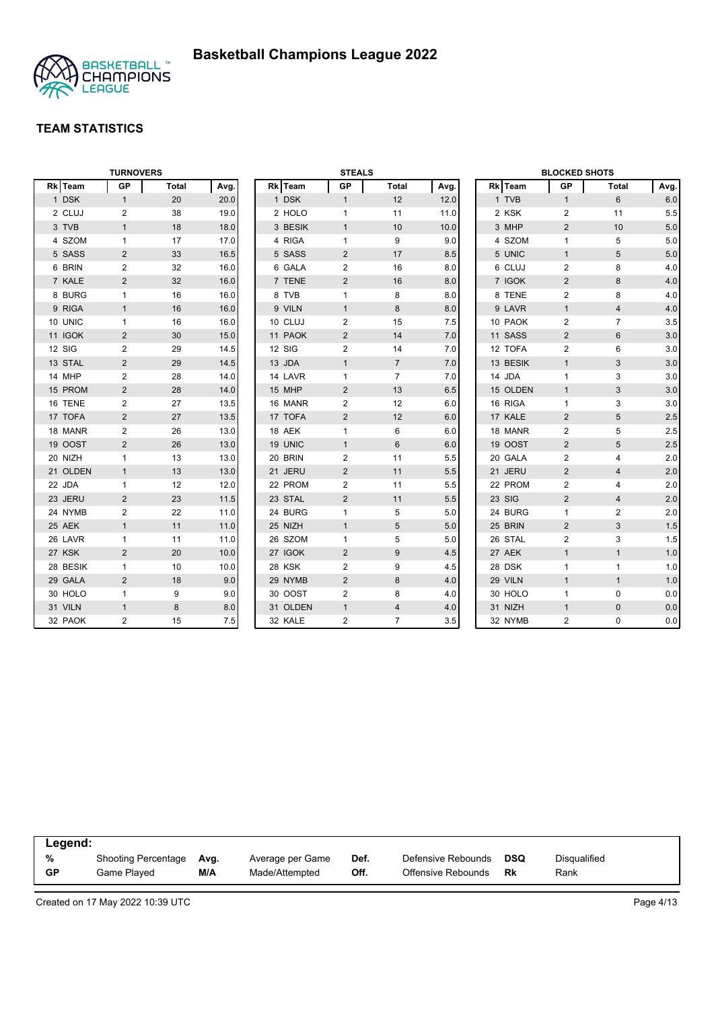

|          | <b>TURNOVERS</b><br><b>GP</b><br>Total |    |      |          | <b>STEALS</b>  |                |      | <b>BLOCKED SHOTS</b> |          |                |                 |         |
|----------|----------------------------------------|----|------|----------|----------------|----------------|------|----------------------|----------|----------------|-----------------|---------|
| Rk Team  |                                        |    | Avg. | Rk Team  | GP             | <b>Total</b>   | Avg. |                      | Rk Team  | GP             | Total           | Avg.    |
| 1 DSK    | $\mathbf{1}$                           | 20 | 20.0 | 1 DSK    | $\mathbf{1}$   | 12             | 12.0 |                      | 1 TVB    | $\mathbf{1}$   | 6               | 6.0     |
| 2 CLUJ   | $\overline{2}$                         | 38 | 19.0 | 2 HOLO   | $\mathbf{1}$   | 11             | 11.0 |                      | 2 KSK    | $\overline{2}$ | 11              | 5.5     |
| 3 TVB    | $\mathbf{1}$                           | 18 | 18.0 | 3 BESIK  | $\mathbf{1}$   | 10             | 10.0 |                      | 3 MHP    | $\overline{2}$ | 10              | 5.0     |
| 4 SZOM   | $\mathbf{1}$                           | 17 | 17.0 | 4 RIGA   | $\mathbf{1}$   | 9              | 9.0  |                      | 4 SZOM   | $\mathbf{1}$   | 5               | 5.0     |
| 5 SASS   | $\overline{2}$                         | 33 | 16.5 | 5 SASS   | $\overline{2}$ | 17             | 8.5  |                      | 5 UNIC   | $\mathbf{1}$   | 5               | 5.0     |
| 6 BRIN   | 2                                      | 32 | 16.0 | 6 GALA   | 2              | 16             | 8.0  |                      | 6 CLUJ   | $\overline{2}$ | 8               | 4.0     |
| 7 KALE   | 2                                      | 32 | 16.0 | 7 TENE   | $\overline{2}$ | 16             | 8.0  |                      | 7 IGOK   | $\overline{2}$ | 8               | 4.0     |
| 8 BURG   | $\mathbf{1}$                           | 16 | 16.0 | 8 TVB    | 1              | 8              | 8.0  |                      | 8 TENE   | $\overline{2}$ | 8               | 4.0     |
| 9 RIGA   | $\mathbf{1}$                           | 16 | 16.0 | 9 VILN   | $\mathbf{1}$   | 8              | 8.0  |                      | 9 LAVR   | $\mathbf{1}$   | 4               | 4.0     |
| 10 UNIC  | $\mathbf{1}$                           | 16 | 16.0 | 10 CLUJ  | 2              | 15             | 7.5  |                      | 10 PAOK  | 2              | $\overline{7}$  | 3.5     |
| 11 IGOK  | 2                                      | 30 | 15.0 | 11 PAOK  | $\overline{2}$ | 14             | 7.0  |                      | 11 SASS  | $\overline{2}$ | $6\phantom{1}6$ | 3.0     |
| 12 SIG   | $\overline{2}$                         | 29 | 14.5 | 12 SIG   | $\mathbf{2}$   | 14             | 7.0  |                      | 12 TOFA  | $\overline{2}$ | 6               | 3.0     |
| 13 STAL  | $\overline{2}$                         | 29 | 14.5 | 13 JDA   | $\mathbf{1}$   | $\overline{7}$ | 7.0  |                      | 13 BESIK | $\mathbf{1}$   | $\mathbf{3}$    | 3.0     |
| 14 MHP   | $\overline{2}$                         | 28 | 14.0 | 14 LAVR  | $\mathbf{1}$   | $\overline{7}$ | 7.0  |                      | 14 JDA   | $\mathbf{1}$   | 3               | 3.0     |
| 15 PROM  | 2                                      | 28 | 14.0 | 15 MHP   | $\overline{2}$ | 13             | 6.5  |                      | 15 OLDEN | $\mathbf{1}$   | 3               | 3.0     |
| 16 TENE  | 2                                      | 27 | 13.5 | 16 MANR  | $\overline{c}$ | 12             | 6.0  |                      | 16 RIGA  | $\mathbf{1}$   | 3               | 3.0     |
| 17 TOFA  | $\overline{2}$                         | 27 | 13.5 | 17 TOFA  | $\overline{2}$ | 12             | 6.0  |                      | 17 KALE  | 2              | 5               | 2.5     |
| 18 MANR  | $\overline{2}$                         | 26 | 13.0 | 18 AEK   | 1              | 6              | 6.0  |                      | 18 MANR  | $\overline{2}$ | 5               | 2.5     |
| 19 OOST  | 2                                      | 26 | 13.0 | 19 UNIC  | $\mathbf{1}$   | 6              | 6.0  |                      | 19 OOST  | $\overline{2}$ | 5               | 2.5     |
| 20 NIZH  | $\mathbf{1}$                           | 13 | 13.0 | 20 BRIN  | $\overline{2}$ | 11             | 5.5  |                      | 20 GALA  | $\overline{2}$ | 4               | 2.0     |
| 21 OLDEN | $\mathbf{1}$                           | 13 | 13.0 | 21 JERU  | $\overline{2}$ | 11             | 5.5  |                      | 21 JERU  | $\overline{2}$ | $\overline{4}$  | 2.0     |
| 22 JDA   | 1                                      | 12 | 12.0 | 22 PROM  | 2              | 11             | 5.5  |                      | 22 PROM  | $\overline{2}$ | 4               | 2.0     |
| 23 JERU  | $\overline{2}$                         | 23 | 11.5 | 23 STAL  | $\overline{2}$ | 11             | 5.5  |                      | 23 SIG   | $\overline{2}$ | $\overline{4}$  | 2.0     |
| 24 NYMB  | $\overline{2}$                         | 22 | 11.0 | 24 BURG  | $\mathbf{1}$   | 5              | 5.0  |                      | 24 BURG  | $\mathbf{1}$   | 2               | 2.0     |
| 25 AEK   | $\mathbf{1}$                           | 11 | 11.0 | 25 NIZH  | $\mathbf{1}$   | 5              | 5.0  |                      | 25 BRIN  | $\overline{2}$ | 3               | $1.5\,$ |
| 26 LAVR  | $\mathbf{1}$                           | 11 | 11.0 | 26 SZOM  | $\mathbf{1}$   | 5              | 5.0  |                      | 26 STAL  | $\overline{2}$ | 3               | 1.5     |
| 27 KSK   | 2                                      | 20 | 10.0 | 27 IGOK  | $\overline{2}$ | 9              | 4.5  |                      | 27 AEK   | $\mathbf{1}$   | $\mathbf{1}$    | 1.0     |
| 28 BESIK | $\mathbf{1}$                           | 10 | 10.0 | 28 KSK   | $\overline{c}$ | 9              | 4.5  |                      | 28 DSK   | $\mathbf{1}$   | $\mathbf{1}$    | 1.0     |
| 29 GALA  | 2                                      | 18 | 9.0  | 29 NYMB  | $\overline{2}$ | 8              | 4.0  |                      | 29 VILN  | $\mathbf{1}$   | $\mathbf{1}$    | 1.0     |
| 30 HOLO  | $\mathbf{1}$                           | 9  | 9.0  | 30 OOST  | 2              | 8              | 4.0  |                      | 30 HOLO  | $\mathbf{1}$   | $\mathbf 0$     | 0.0     |
| 31 VILN  | $\mathbf{1}$                           | 8  | 8.0  | 31 OLDEN | $\mathbf{1}$   | $\overline{4}$ | 4.0  |                      | 31 NIZH  | $\mathbf{1}$   | $\mathbf{0}$    | 0.0     |
| 32 PAOK  | 2                                      | 15 | 7.5  | 32 KALE  | 2              | $\overline{7}$ | 3.5  |                      | 32 NYMB  | $\overline{2}$ | $\mathbf 0$     | 0.0     |

| Legend:   |                            |      |                  |      |                    |     |              |  |
|-----------|----------------------------|------|------------------|------|--------------------|-----|--------------|--|
| %         | <b>Shooting Percentage</b> | Avg. | Average per Game | Def. | Defensive Rebounds | DSQ | Disqualified |  |
| <b>GP</b> | Game Played                | M/A  | Made/Attempted   | Off. | Offensive Rebounds | Rk  | Rank         |  |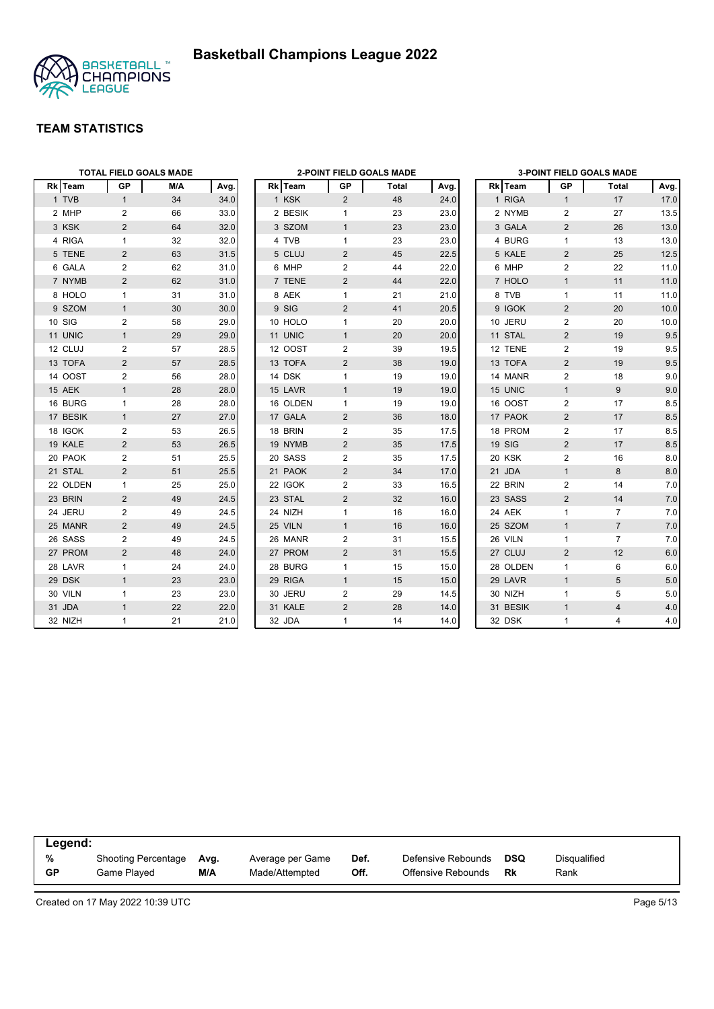



|          |                | <b>TOTAL FIELD GOALS MADE</b> |      |          |                | 2-POINT FIELD GOALS MADE |      |          |                | 3-POINT FIELD GOALS MADE |         |
|----------|----------------|-------------------------------|------|----------|----------------|--------------------------|------|----------|----------------|--------------------------|---------|
| Rk Team  | GP             | M/A                           | Avg. | Rk Team  | GP             | Total                    | Avg. | Rk Team  | <b>GP</b>      | Total                    | Avg.    |
| 1 TVB    | $\mathbf{1}$   | 34                            | 34.0 | 1 KSK    | $\overline{2}$ | 48                       | 24.0 | 1 RIGA   | $\mathbf{1}$   | 17                       | 17.0    |
| 2 MHP    | $\overline{2}$ | 66                            | 33.0 | 2 BESIK  | 1              | 23                       | 23.0 | 2 NYMB   | $\overline{2}$ | 27                       | 13.5    |
| 3 KSK    | 2              | 64                            | 32.0 | 3 SZOM   | $\mathbf{1}$   | 23                       | 23.0 | 3 GALA   | 2              | 26                       | 13.0    |
| 4 RIGA   | $\mathbf{1}$   | 32                            | 32.0 | 4 TVB    | $\mathbf{1}$   | 23                       | 23.0 | 4 BURG   | $\mathbf{1}$   | 13                       | 13.0    |
| 5 TENE   | $\overline{2}$ | 63                            | 31.5 | 5 CLUJ   | $\overline{2}$ | 45                       | 22.5 | 5 KALE   | 2              | 25                       | 12.5    |
| 6 GALA   | 2              | 62                            | 31.0 | 6 MHP    | $\overline{2}$ | 44                       | 22.0 | 6 MHP    | 2              | 22                       | 11.0    |
| 7 NYMB   | 2              | 62                            | 31.0 | 7 TENE   | 2              | 44                       | 22.0 | 7 HOLO   | $\mathbf{1}$   | 11                       | 11.0    |
| 8 HOLO   | $\mathbf{1}$   | 31                            | 31.0 | 8 AEK    | $\mathbf{1}$   | 21                       | 21.0 | 8 TVB    | $\mathbf{1}$   | 11                       | 11.0    |
| 9 SZOM   | $\mathbf{1}$   | 30                            | 30.0 | 9 SIG    | $\overline{2}$ | 41                       | 20.5 | 9 IGOK   | 2              | 20                       | 10.0    |
| 10 SIG   | 2              | 58                            | 29.0 | 10 HOLO  | $\mathbf{1}$   | 20                       | 20.0 | 10 JERU  | 2              | 20                       | 10.0    |
| 11 UNIC  | $\mathbf{1}$   | 29                            | 29.0 | 11 UNIC  | $\mathbf{1}$   | 20                       | 20.0 | 11 STAL  | 2              | 19                       | $9.5\,$ |
| 12 CLUJ  | $\overline{2}$ | 57                            | 28.5 | 12 OOST  | 2              | 39                       | 19.5 | 12 TENE  | 2              | 19                       | 9.5     |
| 13 TOFA  | 2              | 57                            | 28.5 | 13 TOFA  | $\overline{2}$ | 38                       | 19.0 | 13 TOFA  | 2              | 19                       | 9.5     |
| 14 OOST  | 2              | 56                            | 28.0 | 14 DSK   | $\mathbf{1}$   | 19                       | 19.0 | 14 MANR  | 2              | 18                       | 9.0     |
| 15 AEK   | $\mathbf{1}$   | 28                            | 28.0 | 15 LAVR  | $\mathbf{1}$   | 19                       | 19.0 | 15 UNIC  | $\mathbf{1}$   | 9                        | 9.0     |
| 16 BURG  | $\mathbf{1}$   | 28                            | 28.0 | 16 OLDEN | 1              | 19                       | 19.0 | 16 OOST  | 2              | 17                       | 8.5     |
| 17 BESIK | $\mathbf{1}$   | 27                            | 27.0 | 17 GALA  | $\overline{2}$ | 36                       | 18.0 | 17 PAOK  | $\overline{2}$ | 17                       | 8.5     |
| 18 IGOK  | $\overline{2}$ | 53                            | 26.5 | 18 BRIN  | 2              | 35                       | 17.5 | 18 PROM  | 2              | 17                       | 8.5     |
| 19 KALE  | 2              | 53                            | 26.5 | 19 NYMB  | $\overline{2}$ | 35                       | 17.5 | 19 SIG   | 2              | 17                       | 8.5     |
| 20 PAOK  | 2              | 51                            | 25.5 | 20 SASS  | 2              | 35                       | 17.5 | 20 KSK   | 2              | 16                       | 8.0     |
| 21 STAL  | 2              | 51                            | 25.5 | 21 PAOK  | $\overline{2}$ | 34                       | 17.0 | 21 JDA   | $\mathbf{1}$   | 8                        | 8.0     |
| 22 OLDEN | $\mathbf{1}$   | 25                            | 25.0 | 22 IGOK  | $\overline{2}$ | 33                       | 16.5 | 22 BRIN  | 2              | 14                       | 7.0     |
| 23 BRIN  | $\overline{2}$ | 49                            | 24.5 | 23 STAL  | $\overline{2}$ | 32                       | 16.0 | 23 SASS  | $\overline{2}$ | 14                       | 7.0     |
| 24 JERU  | 2              | 49                            | 24.5 | 24 NIZH  | $\mathbf{1}$   | 16                       | 16.0 | 24 AEK   | $\mathbf{1}$   | 7                        | 7.0     |
| 25 MANR  | 2              | 49                            | 24.5 | 25 VILN  | $\mathbf{1}$   | 16                       | 16.0 | 25 SZOM  | $\mathbf{1}$   | $\overline{7}$           | 7.0     |
| 26 SASS  | 2              | 49                            | 24.5 | 26 MANR  | $\overline{c}$ | 31                       | 15.5 | 26 VILN  | $\mathbf{1}$   | $\overline{7}$           | 7.0     |
| 27 PROM  | 2              | 48                            | 24.0 | 27 PROM  | $\overline{2}$ | 31                       | 15.5 | 27 CLUJ  | 2              | 12                       | 6.0     |
| 28 LAVR  | $\mathbf{1}$   | 24                            | 24.0 | 28 BURG  | $\mathbf{1}$   | 15                       | 15.0 | 28 OLDEN | $\mathbf{1}$   | 6                        | 6.0     |
| 29 DSK   | $\mathbf{1}$   | 23                            | 23.0 | 29 RIGA  | $\mathbf{1}$   | 15                       | 15.0 | 29 LAVR  | $\mathbf{1}$   | 5                        | 5.0     |
| 30 VILN  | $\mathbf{1}$   | 23                            | 23.0 | 30 JERU  | 2              | 29                       | 14.5 | 30 NIZH  | $\mathbf{1}$   | 5                        | 5.0     |
| 31 JDA   | $\mathbf{1}$   | 22                            | 22.0 | 31 KALE  | $\overline{2}$ | 28                       | 14.0 | 31 BESIK | $\mathbf{1}$   | $\overline{4}$           | 4.0     |
| 32 NIZH  | $\mathbf{1}$   | 21                            | 21.0 | 32 JDA   | $\mathbf{1}$   | 14                       | 14.0 | 32 DSK   | $\mathbf{1}$   | $\overline{4}$           | 4.0     |

| Legend:   |                     |      |                  |      |                    |     |              |
|-----------|---------------------|------|------------------|------|--------------------|-----|--------------|
| %         | Shooting Percentage | Ava. | Average per Game | Def. | Defensive Rebounds | DSQ | Disqualified |
| <b>GP</b> | Game Plaved         | M/A  | Made/Attempted   | Off. | Offensive Rebounds | Rk  | Rank         |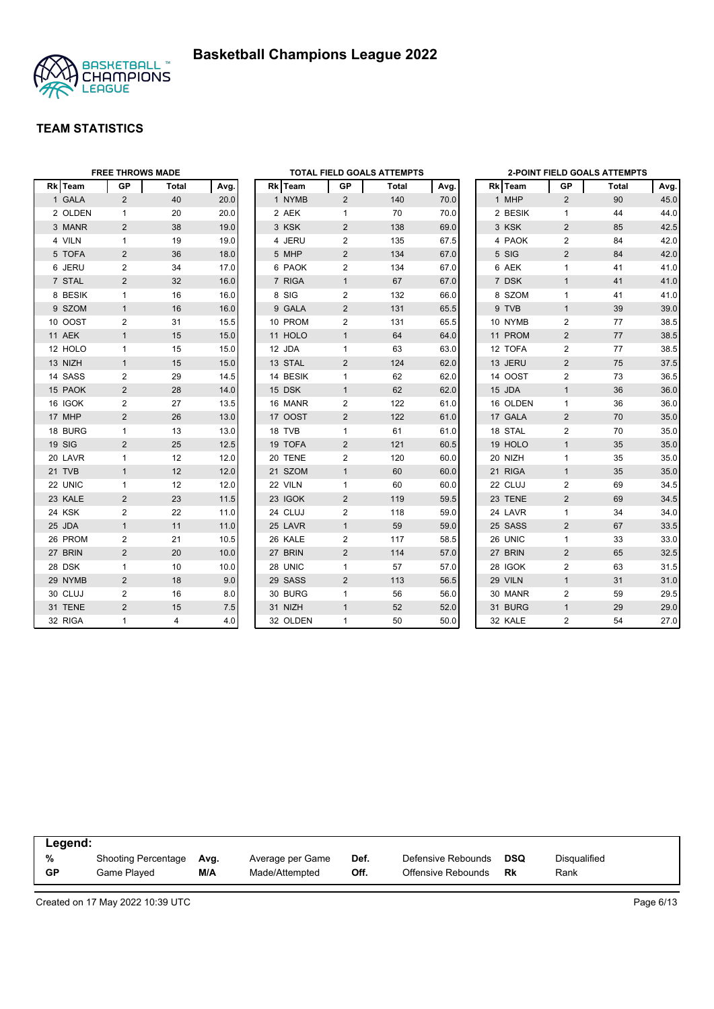



|         | <b>FREE THROWS MADE</b> |       |      |           |                | TOTAL FIELD GOALS ATTEMPTS |      |          |                | <b>2-POINT FIELD GOALS ATTEMPTS</b> |      |
|---------|-------------------------|-------|------|-----------|----------------|----------------------------|------|----------|----------------|-------------------------------------|------|
| Rk Team | <b>GP</b>               | Total | Avg. | Rk   Team | GP             | Total                      | Avg. | Rk Team  | GP             | Total                               | Avg. |
| 1 GALA  | $\overline{2}$          | 40    | 20.0 | 1 NYMB    | $\overline{2}$ | 140                        | 70.0 | 1 MHP    | $\overline{2}$ | 90                                  | 45.0 |
| 2 OLDEN | $\mathbf{1}$            | 20    | 20.0 | 2 AEK     | $\mathbf{1}$   | 70                         | 70.0 | 2 BESIK  | $\mathbf{1}$   | 44                                  | 44.0 |
| 3 MANR  | 2                       | 38    | 19.0 | 3 KSK     | 2              | 138                        | 69.0 | 3 KSK    | 2              | 85                                  | 42.5 |
| 4 VILN  | $\mathbf{1}$            | 19    | 19.0 | 4 JERU    | 2              | 135                        | 67.5 | 4 PAOK   | 2              | 84                                  | 42.0 |
| 5 TOFA  | $\overline{2}$          | 36    | 18.0 | 5 MHP     | $\overline{2}$ | 134                        | 67.0 | 5 SIG    | $\overline{2}$ | 84                                  | 42.0 |
| 6 JERU  | 2                       | 34    | 17.0 | 6 PAOK    | 2              | 134                        | 67.0 | 6 AEK    | $\mathbf{1}$   | 41                                  | 41.0 |
| 7 STAL  | 2                       | 32    | 16.0 | 7 RIGA    | $\mathbf{1}$   | 67                         | 67.0 | 7 DSK    | $\mathbf{1}$   | 41                                  | 41.0 |
| 8 BESIK | $\mathbf{1}$            | 16    | 16.0 | 8 SIG     | 2              | 132                        | 66.0 | 8 SZOM   | $\mathbf{1}$   | 41                                  | 41.0 |
| 9 SZOM  | $\mathbf{1}$            | 16    | 16.0 | 9 GALA    | $\overline{2}$ | 131                        | 65.5 | 9 TVB    | $\mathbf{1}$   | 39                                  | 39.0 |
| 10 OOST | 2                       | 31    | 15.5 | 10 PROM   | 2              | 131                        | 65.5 | 10 NYMB  | 2              | 77                                  | 38.5 |
| 11 AEK  | $\mathbf{1}$            | 15    | 15.0 | 11 HOLO   | $\mathbf{1}$   | 64                         | 64.0 | 11 PROM  | $\overline{2}$ | 77                                  | 38.5 |
| 12 HOLO | $\mathbf{1}$            | 15    | 15.0 | 12 JDA    | $\mathbf{1}$   | 63                         | 63.0 | 12 TOFA  | 2              | 77                                  | 38.5 |
| 13 NIZH | $\mathbf{1}$            | 15    | 15.0 | 13 STAL   | 2              | 124                        | 62.0 | 13 JERU  | 2              | 75                                  | 37.5 |
| 14 SASS | 2                       | 29    | 14.5 | 14 BESIK  | $\mathbf{1}$   | 62                         | 62.0 | 14 OOST  | 2              | 73                                  | 36.5 |
| 15 PAOK | $\overline{2}$          | 28    | 14.0 | 15 DSK    | $\mathbf{1}$   | 62                         | 62.0 | 15 JDA   | $\mathbf{1}$   | 36                                  | 36.0 |
| 16 IGOK | 2                       | 27    | 13.5 | 16 MANR   | 2              | 122                        | 61.0 | 16 OLDEN | $\mathbf{1}$   | 36                                  | 36.0 |
| 17 MHP  | $\overline{2}$          | 26    | 13.0 | 17 OOST   | $\overline{2}$ | 122                        | 61.0 | 17 GALA  | 2              | 70                                  | 35.0 |
| 18 BURG | $\mathbf{1}$            | 13    | 13.0 | 18 TVB    | $\mathbf{1}$   | 61                         | 61.0 | 18 STAL  | $\overline{2}$ | 70                                  | 35.0 |
| 19 SIG  | $\overline{2}$          | 25    | 12.5 | 19 TOFA   | 2              | 121                        | 60.5 | 19 HOLO  | $\mathbf{1}$   | 35                                  | 35.0 |
| 20 LAVR | $\mathbf{1}$            | 12    | 12.0 | 20 TENE   | 2              | 120                        | 60.0 | 20 NIZH  | $\mathbf{1}$   | 35                                  | 35.0 |
| 21 TVB  | $\mathbf{1}$            | 12    | 12.0 | 21 SZOM   | $\mathbf{1}$   | 60                         | 60.0 | 21 RIGA  | $\mathbf{1}$   | 35                                  | 35.0 |
| 22 UNIC | $\mathbf{1}$            | 12    | 12.0 | 22 VILN   | $\mathbf{1}$   | 60                         | 60.0 | 22 CLUJ  | 2              | 69                                  | 34.5 |
| 23 KALE | 2                       | 23    | 11.5 | 23 IGOK   | $\overline{2}$ | 119                        | 59.5 | 23 TENE  | $\overline{2}$ | 69                                  | 34.5 |
| 24 KSK  | 2                       | 22    | 11.0 | 24 CLUJ   | 2              | 118                        | 59.0 | 24 LAVR  | $\mathbf{1}$   | 34                                  | 34.0 |
| 25 JDA  | $\mathbf{1}$            | 11    | 11.0 | 25 LAVR   | $\mathbf{1}$   | 59                         | 59.0 | 25 SASS  | 2              | 67                                  | 33.5 |
| 26 PROM | 2                       | 21    | 10.5 | 26 KALE   | 2              | 117                        | 58.5 | 26 UNIC  | $\mathbf{1}$   | 33                                  | 33.0 |
| 27 BRIN | $\overline{2}$          | 20    | 10.0 | 27 BRIN   | $\overline{2}$ | 114                        | 57.0 | 27 BRIN  | 2              | 65                                  | 32.5 |
| 28 DSK  | $\mathbf{1}$            | 10    | 10.0 | 28 UNIC   | 1              | 57                         | 57.0 | 28 IGOK  | 2              | 63                                  | 31.5 |
| 29 NYMB | 2                       | 18    | 9.0  | 29 SASS   | 2              | 113                        | 56.5 | 29 VILN  | $\mathbf{1}$   | 31                                  | 31.0 |
| 30 CLUJ | 2                       | 16    | 8.0  | 30 BURG   | $\mathbf{1}$   | 56                         | 56.0 | 30 MANR  | 2              | 59                                  | 29.5 |
| 31 TENE | 2                       | 15    | 7.5  | 31 NIZH   | $\mathbf{1}$   | 52                         | 52.0 | 31 BURG  | $\mathbf{1}$   | 29                                  | 29.0 |
| 32 RIGA | $\mathbf{1}$            | 4     | 4.0  | 32 OLDEN  | 1              | 50                         | 50.0 | 32 KALE  | $\overline{2}$ | 54                                  | 27.0 |

| Legend: |                     |      |                  |      |                    |            |              |  |
|---------|---------------------|------|------------------|------|--------------------|------------|--------------|--|
| %       | Shooting Percentage | Avg. | Average per Game | Def. | Defensive Rebounds | <b>DSQ</b> | Disgualified |  |
| GP      | Game Plaved         | M/A  | Made/Attempted   | Off. | Offensive Rebounds | Rk         | Rank         |  |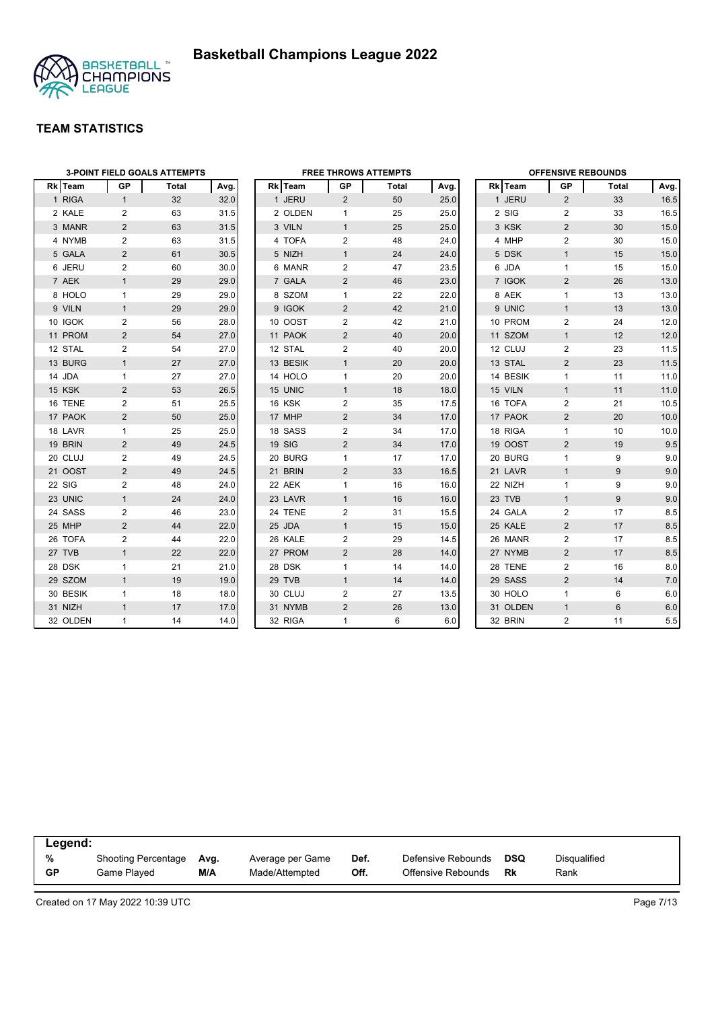

|          | <b>3-POINT FIELD GOALS ATTEMPTS</b> |       |      |  |          |                | <b>FREE THROWS ATTEMPTS</b> |      |          | <b>OFFENSIVE REBOUNDS</b> |                |      |
|----------|-------------------------------------|-------|------|--|----------|----------------|-----------------------------|------|----------|---------------------------|----------------|------|
| Rk Team  | GP                                  | Total | Avg. |  | Rk Team  | GP             | Total                       | Avg. | Rk Team  | <b>GP</b>                 | <b>Total</b>   | Avg. |
| 1 RIGA   | $\mathbf{1}$                        | 32    | 32.0 |  | 1 JERU   | $\overline{2}$ | 50                          | 25.0 | 1 JERU   | $\overline{2}$            | 33             | 16.5 |
| 2 KALE   | $\overline{c}$                      | 63    | 31.5 |  | 2 OLDEN  | $\mathbf{1}$   | 25                          | 25.0 | 2 SIG    | $\overline{2}$            | 33             | 16.5 |
| 3 MANR   | $\overline{2}$                      | 63    | 31.5 |  | 3 VILN   | $\mathbf{1}$   | 25                          | 25.0 | 3 KSK    | $\overline{2}$            | 30             | 15.0 |
| 4 NYMB   | 2                                   | 63    | 31.5 |  | 4 TOFA   | 2              | 48                          | 24.0 | 4 MHP    | $\overline{2}$            | 30             | 15.0 |
| 5 GALA   | 2                                   | 61    | 30.5 |  | 5 NIZH   | $\mathbf{1}$   | 24                          | 24.0 | 5 DSK    | $\mathbf{1}$              | 15             | 15.0 |
| 6 JERU   | 2                                   | 60    | 30.0 |  | 6 MANR   | 2              | 47                          | 23.5 | 6 JDA    | $\mathbf{1}$              | 15             | 15.0 |
| 7 AEK    | $\mathbf{1}$                        | 29    | 29.0 |  | 7 GALA   | 2              | 46                          | 23.0 | 7 IGOK   | $\overline{2}$            | 26             | 13.0 |
| 8 HOLO   | $\mathbf{1}$                        | 29    | 29.0 |  | 8 SZOM   | $\mathbf{1}$   | 22                          | 22.0 | 8 AEK    | $\mathbf{1}$              | 13             | 13.0 |
| 9 VILN   | $\mathbf{1}$                        | 29    | 29.0 |  | 9 IGOK   | $\overline{2}$ | 42                          | 21.0 | 9 UNIC   | $\mathbf{1}$              | 13             | 13.0 |
| 10 IGOK  | 2                                   | 56    | 28.0 |  | 10 OOST  | 2              | 42                          | 21.0 | 10 PROM  | $\overline{2}$            | 24             | 12.0 |
| 11 PROM  | $\overline{2}$                      | 54    | 27.0 |  | 11 PAOK  | $\overline{2}$ | 40                          | 20.0 | 11 SZOM  | $\mathbf{1}$              | 12             | 12.0 |
| 12 STAL  | 2                                   | 54    | 27.0 |  | 12 STAL  | 2              | 40                          | 20.0 | 12 CLUJ  | 2                         | 23             | 11.5 |
| 13 BURG  | $\mathbf{1}$                        | 27    | 27.0 |  | 13 BESIK | $\mathbf{1}$   | 20                          | 20.0 | 13 STAL  | $\overline{2}$            | 23             | 11.5 |
| 14 JDA   | $\mathbf{1}$                        | 27    | 27.0 |  | 14 HOLO  | $\mathbf{1}$   | 20                          | 20.0 | 14 BESIK | $\mathbf{1}$              | 11             | 11.0 |
| 15 KSK   | 2                                   | 53    | 26.5 |  | 15 UNIC  | $\mathbf{1}$   | 18                          | 18.0 | 15 VILN  | $\mathbf{1}$              | 11             | 11.0 |
| 16 TENE  | $\mathbf{2}$                        | 51    | 25.5 |  | 16 KSK   | $\overline{2}$ | 35                          | 17.5 | 16 TOFA  | 2                         | 21             | 10.5 |
| 17 PAOK  | 2                                   | 50    | 25.0 |  | 17 MHP   | $\overline{2}$ | 34                          | 17.0 | 17 PAOK  | $\overline{2}$            | 20             | 10.0 |
| 18 LAVR  | $\mathbf{1}$                        | 25    | 25.0 |  | 18 SASS  | 2              | 34                          | 17.0 | 18 RIGA  | $\mathbf{1}$              | 10             | 10.0 |
| 19 BRIN  | 2                                   | 49    | 24.5 |  | 19 SIG   | $\overline{2}$ | 34                          | 17.0 | 19 OOST  | 2                         | 19             | 9.5  |
| 20 CLUJ  | $\overline{2}$                      | 49    | 24.5 |  | 20 BURG  | $\mathbf{1}$   | 17                          | 17.0 | 20 BURG  | $\mathbf{1}$              | 9              | 9.0  |
| 21 OOST  | 2                                   | 49    | 24.5 |  | 21 BRIN  | 2              | 33                          | 16.5 | 21 LAVR  | $\mathbf{1}$              | 9              | 9.0  |
| 22 SIG   | 2                                   | 48    | 24.0 |  | 22 AEK   | $\mathbf{1}$   | 16                          | 16.0 | 22 NIZH  | $\mathbf{1}$              | 9              | 9.0  |
| 23 UNIC  | $\mathbf{1}$                        | 24    | 24.0 |  | 23 LAVR  | $\mathbf{1}$   | 16                          | 16.0 | 23 TVB   | $\mathbf{1}$              | 9              | 9.0  |
| 24 SASS  | 2                                   | 46    | 23.0 |  | 24 TENE  | $\overline{c}$ | 31                          | 15.5 | 24 GALA  | $\overline{2}$            | 17             | 8.5  |
| 25 MHP   | 2                                   | 44    | 22.0 |  | 25 JDA   | $\mathbf{1}$   | 15                          | 15.0 | 25 KALE  | $\overline{2}$            | 17             | 8.5  |
| 26 TOFA  | $\mathbf{2}$                        | 44    | 22.0 |  | 26 KALE  | $\overline{2}$ | 29                          | 14.5 | 26 MANR  | $\overline{2}$            | 17             | 8.5  |
| 27 TVB   | $\mathbf{1}$                        | 22    | 22.0 |  | 27 PROM  | $\overline{2}$ | 28                          | 14.0 | 27 NYMB  | 2                         | 17             | 8.5  |
| 28 DSK   | $\mathbf{1}$                        | 21    | 21.0 |  | 28 DSK   | $\mathbf{1}$   | 14                          | 14.0 | 28 TENE  | 2                         | 16             | 8.0  |
| 29 SZOM  | $\mathbf{1}$                        | 19    | 19.0 |  | 29 TVB   | $\mathbf{1}$   | 14                          | 14.0 | 29 SASS  | $\overline{2}$            | 14             | 7.0  |
| 30 BESIK | $\mathbf{1}$                        | 18    | 18.0 |  | 30 CLUJ  | 2              | 27                          | 13.5 | 30 HOLO  | $\mathbf{1}$              | 6              | 6.0  |
| 31 NIZH  | $\mathbf{1}$                        | 17    | 17.0 |  | 31 NYMB  | $\overline{2}$ | 26                          | 13.0 | 31 OLDEN | $\mathbf{1}$              | $6\phantom{1}$ | 6.0  |
| 32 OLDEN | $\mathbf{1}$                        | 14    | 14.0 |  | 32 RIGA  | $\mathbf{1}$   | 6                           | 6.0  | 32 BRIN  | $\overline{2}$            | 11             | 5.5  |

|           | Legend:             |      |                  |      |                    |     |              |  |  |  |  |
|-----------|---------------------|------|------------------|------|--------------------|-----|--------------|--|--|--|--|
| %         | Shooting Percentage | Ava. | Average per Game | Def. | Defensive Rebounds | DSQ | Disqualified |  |  |  |  |
| <b>GP</b> | Game Plaved         | M/A  | Made/Attempted   | Off. | Offensive Rebounds | Rk  | Rank         |  |  |  |  |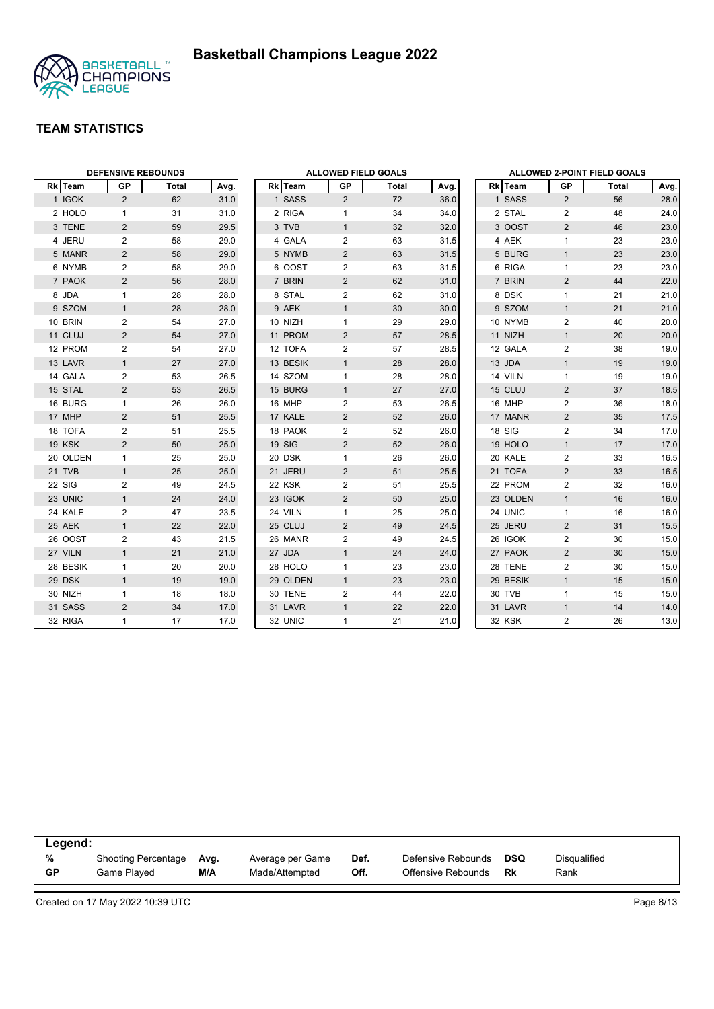

|          |                | <b>DEFENSIVE REBOUNDS</b> |      | <b>ALLOWED FIELD GOALS</b> |                |       |      |          |                | ALLOWED 2-POINT FIELD GOALS |      |  |  |
|----------|----------------|---------------------------|------|----------------------------|----------------|-------|------|----------|----------------|-----------------------------|------|--|--|
| Rk Team  | GP             | Total                     | Avg. | Rk Team                    | GP             | Total | Avg. | Rk Team  | <b>GP</b>      | Total                       | Avg. |  |  |
| 1 IGOK   | 2              | 62                        | 31.0 | 1 SASS                     | $\overline{2}$ | 72    | 36.0 | 1 SASS   | 2              | 56                          | 28.0 |  |  |
| 2 HOLO   | $\mathbf{1}$   | 31                        | 31.0 | 2 RIGA                     | $\mathbf{1}$   | 34    | 34.0 | 2 STAL   | $\overline{2}$ | 48                          | 24.0 |  |  |
| 3 TENE   | 2              | 59                        | 29.5 | 3 TVB                      | $\mathbf{1}$   | 32    | 32.0 | 3 OOST   | $\overline{2}$ | 46                          | 23.0 |  |  |
| 4 JERU   | 2              | 58                        | 29.0 | 4 GALA                     | 2              | 63    | 31.5 | 4 AEK    | $\mathbf{1}$   | 23                          | 23.0 |  |  |
| 5 MANR   | $\overline{2}$ | 58                        | 29.0 | 5 NYMB                     | $\overline{2}$ | 63    | 31.5 | 5 BURG   | $\mathbf{1}$   | 23                          | 23.0 |  |  |
| 6 NYMB   | 2              | 58                        | 29.0 | 6 OOST                     | 2              | 63    | 31.5 | 6 RIGA   | $\mathbf{1}$   | 23                          | 23.0 |  |  |
| 7 PAOK   | 2              | 56                        | 28.0 | 7 BRIN                     | $\overline{2}$ | 62    | 31.0 | 7 BRIN   | $\overline{2}$ | 44                          | 22.0 |  |  |
| 8 JDA    | $\mathbf{1}$   | 28                        | 28.0 | 8 STAL                     | 2              | 62    | 31.0 | 8 DSK    | $\mathbf{1}$   | 21                          | 21.0 |  |  |
| 9 SZOM   | $\mathbf{1}$   | 28                        | 28.0 | 9 AEK                      | $\mathbf{1}$   | 30    | 30.0 | 9 SZOM   | $\mathbf{1}$   | 21                          | 21.0 |  |  |
| 10 BRIN  | 2              | 54                        | 27.0 | 10 NIZH                    | 1              | 29    | 29.0 | 10 NYMB  | $\overline{2}$ | 40                          | 20.0 |  |  |
| 11 CLUJ  | 2              | 54                        | 27.0 | 11 PROM                    | $\overline{2}$ | 57    | 28.5 | 11 NIZH  | $\mathbf{1}$   | 20                          | 20.0 |  |  |
| 12 PROM  | 2              | 54                        | 27.0 | 12 TOFA                    | $\overline{2}$ | 57    | 28.5 | 12 GALA  | 2              | 38                          | 19.0 |  |  |
| 13 LAVR  | $\mathbf{1}$   | 27                        | 27.0 | 13 BESIK                   | $\mathbf{1}$   | 28    | 28.0 | 13 JDA   | $\mathbf{1}$   | 19                          | 19.0 |  |  |
| 14 GALA  | 2              | 53                        | 26.5 | 14 SZOM                    | $\mathbf{1}$   | 28    | 28.0 | 14 VILN  | $\mathbf{1}$   | 19                          | 19.0 |  |  |
| 15 STAL  | 2              | 53                        | 26.5 | 15 BURG                    | $\mathbf{1}$   | 27    | 27.0 | 15 CLUJ  | 2              | 37                          | 18.5 |  |  |
| 16 BURG  | $\mathbf{1}$   | 26                        | 26.0 | 16 MHP                     | 2              | 53    | 26.5 | 16 MHP   | $\overline{2}$ | 36                          | 18.0 |  |  |
| 17 MHP   | 2              | 51                        | 25.5 | 17 KALE                    | $\overline{2}$ | 52    | 26.0 | 17 MANR  | 2              | 35                          | 17.5 |  |  |
| 18 TOFA  | 2              | 51                        | 25.5 | 18 PAOK                    | 2              | 52    | 26.0 | 18 SIG   | 2              | 34                          | 17.0 |  |  |
| 19 KSK   | $\overline{2}$ | 50                        | 25.0 | 19 SIG                     | $\overline{2}$ | 52    | 26.0 | 19 HOLO  | $\mathbf{1}$   | 17                          | 17.0 |  |  |
| 20 OLDEN | $\mathbf{1}$   | 25                        | 25.0 | 20 DSK                     | $\mathbf{1}$   | 26    | 26.0 | 20 KALE  | 2              | 33                          | 16.5 |  |  |
| 21 TVB   | $\mathbf{1}$   | 25                        | 25.0 | 21 JERU                    | $\overline{2}$ | 51    | 25.5 | 21 TOFA  | $\overline{2}$ | 33                          | 16.5 |  |  |
| 22 SIG   | 2              | 49                        | 24.5 | 22 KSK                     | 2              | 51    | 25.5 | 22 PROM  | $\overline{2}$ | 32                          | 16.0 |  |  |
| 23 UNIC  | $\mathbf{1}$   | 24                        | 24.0 | 23 IGOK                    | $\overline{2}$ | 50    | 25.0 | 23 OLDEN | $\mathbf{1}$   | 16                          | 16.0 |  |  |
| 24 KALE  | 2              | 47                        | 23.5 | 24 VILN                    | $\mathbf{1}$   | 25    | 25.0 | 24 UNIC  | $\mathbf{1}$   | 16                          | 16.0 |  |  |
| 25 AEK   | $\mathbf{1}$   | 22                        | 22.0 | 25 CLUJ                    | $\overline{2}$ | 49    | 24.5 | 25 JERU  | 2              | 31                          | 15.5 |  |  |
| 26 OOST  | 2              | 43                        | 21.5 | 26 MANR                    | $\overline{2}$ | 49    | 24.5 | 26 IGOK  | 2              | 30                          | 15.0 |  |  |
| 27 VILN  | $\mathbf{1}$   | 21                        | 21.0 | 27 JDA                     | $\mathbf{1}$   | 24    | 24.0 | 27 PAOK  | $\overline{2}$ | 30                          | 15.0 |  |  |
| 28 BESIK | $\mathbf{1}$   | 20                        | 20.0 | 28 HOLO                    | $\mathbf{1}$   | 23    | 23.0 | 28 TENE  | 2              | 30                          | 15.0 |  |  |
| 29 DSK   | $\mathbf{1}$   | 19                        | 19.0 | 29 OLDEN                   | $\mathbf{1}$   | 23    | 23.0 | 29 BESIK | $\mathbf{1}$   | 15                          | 15.0 |  |  |
| 30 NIZH  | $\mathbf{1}$   | 18                        | 18.0 | 30 TENE                    | 2              | 44    | 22.0 | 30 TVB   | $\mathbf{1}$   | 15                          | 15.0 |  |  |
| 31 SASS  | 2              | 34                        | 17.0 | 31 LAVR                    | $\mathbf{1}$   | 22    | 22.0 | 31 LAVR  | $\mathbf{1}$   | 14                          | 14.0 |  |  |
| 32 RIGA  | $\mathbf{1}$   | 17                        | 17.0 | 32 UNIC                    | 1              | 21    | 21.0 | 32 KSK   | 2              | 26                          | 13.0 |  |  |

|    | Legend:             |      |                  |      |                    |            |              |  |  |  |  |
|----|---------------------|------|------------------|------|--------------------|------------|--------------|--|--|--|--|
| %  | Shooting Percentage | Ava. | Average per Game | Def. | Defensive Rebounds | <b>DSQ</b> | Disgualified |  |  |  |  |
| GP | Game Played         | M/A  | Made/Attempted   | Off. | Offensive Rebounds | Rk         | Rank         |  |  |  |  |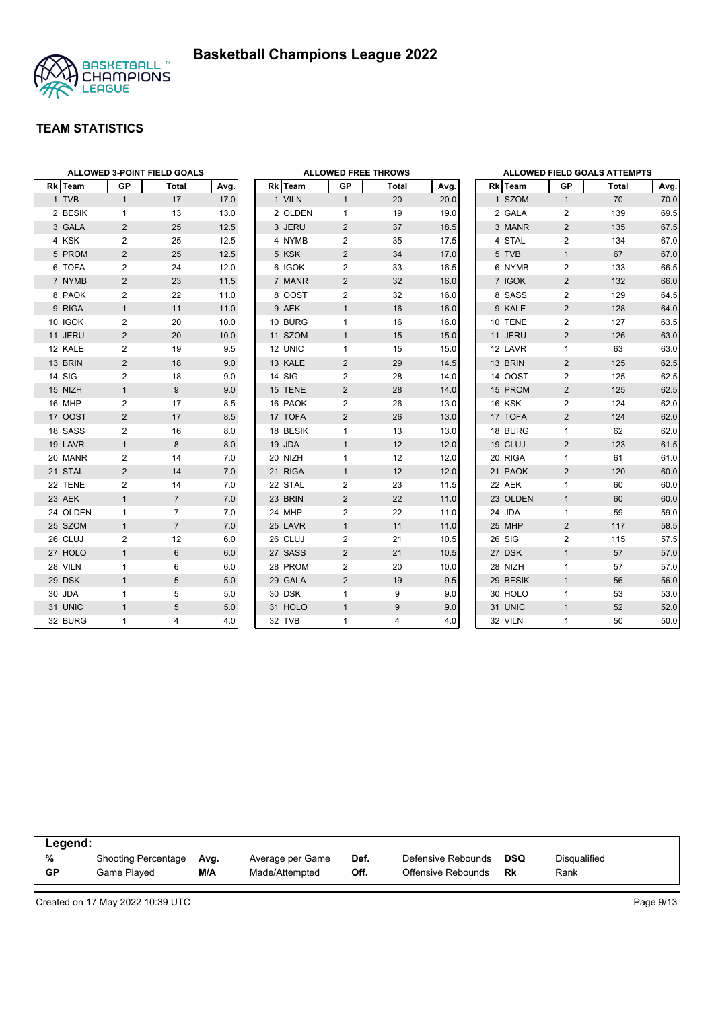

|               | <b>ALLOWED 3-POINT FIELD GOALS</b> |                |      |  |               |                | <b>ALLOWED FREE THROWS</b> |                  |          | ALLOWED FIELD GOALS ATTEMPTS |       |      |
|---------------|------------------------------------|----------------|------|--|---------------|----------------|----------------------------|------------------|----------|------------------------------|-------|------|
| Rk Team       | <b>GP</b>                          | Total          | Avg. |  | Rk Team       | <b>GP</b>      | Total                      | Avg.             | Rk Team  | <b>GP</b>                    | Total | Avg. |
| 1 TVB         | $\mathbf{1}$                       | 17             | 17.0 |  | 1 VILN        | 1              | 20                         | 20.0             | 1 SZOM   | $\mathbf{1}$                 | 70    | 70.0 |
| 2 BESIK       | $\mathbf{1}$                       | 13             | 13.0 |  | 2 OLDEN       | $\mathbf{1}$   | 19                         | 19.0             | 2 GALA   | $\overline{2}$               | 139   | 69.5 |
| 3 GALA        | $\overline{2}$                     | 25             | 12.5 |  | 3 JERU        | $\overline{2}$ | 37                         | 18.5             | 3 MANR   | $\overline{2}$               | 135   | 67.5 |
| 4 KSK         | 2                                  | 25             | 12.5 |  | 4 NYMB        | $\overline{2}$ | 35                         | 17.5             | 4 STAL   | $\overline{2}$               | 134   | 67.0 |
| 5 PROM        | 2                                  | 25             | 12.5 |  | 5 KSK         | $\overline{2}$ | 34                         | 17.0             | 5 TVB    | $\mathbf{1}$                 | 67    | 67.0 |
| 6 TOFA        | 2                                  | 24             | 12.0 |  | 6 IGOK        | $\overline{2}$ | 33                         | 16.5             | 6 NYMB   | $\overline{2}$               | 133   | 66.5 |
| 7 NYMB        | $\overline{2}$                     | 23             | 11.5 |  | 7 MANR        | $\overline{2}$ | 32                         | 16.0             | 7 IGOK   | $\overline{2}$               | 132   | 66.0 |
| 8 PAOK        | 2                                  | 22             | 11.0 |  | 8 OOST        | $\overline{2}$ | 32                         | 16.0             | 8 SASS   | $\overline{2}$               | 129   | 64.5 |
| 9 RIGA        | $\mathbf{1}$                       | 11             | 11.0 |  | 9 AEK         | $\mathbf{1}$   | 16                         | 16.0             | 9 KALE   | $\overline{2}$               | 128   | 64.0 |
| 10 IGOK       | 2                                  | 20             | 10.0 |  | 10 BURG       | 1              | 16                         | 16.0             | 10 TENE  | $\overline{2}$               | 127   | 63.5 |
| 11 JERU       | $\overline{2}$                     | 20             | 10.0 |  | 11 SZOM       | $\mathbf{1}$   | 15                         | 15.0             | 11 JERU  | $\overline{2}$               | 126   | 63.0 |
| 12 KALE       | 2                                  | 19             | 9.5  |  | 12 UNIC       | $\mathbf{1}$   | 15                         | 15.0             | 12 LAVR  | $\mathbf{1}$                 | 63    | 63.0 |
| 13 BRIN       | $\overline{2}$                     | 18             | 9.0  |  | 13 KALE       | $\overline{2}$ | 29                         | 14.5             | 13 BRIN  | $\overline{2}$               | 125   | 62.5 |
| <b>14 SIG</b> | 2                                  | 18             | 9.0  |  | <b>14 SIG</b> | $\overline{2}$ | 28                         | 14.0             | 14 OOST  | $\overline{2}$               | 125   | 62.5 |
| 15 NIZH       | $\mathbf{1}$                       | 9              | 9.0  |  | 15 TENE       | $\overline{2}$ | 28                         | 14.0             | 15 PROM  | $\overline{2}$               | 125   | 62.5 |
| 16 MHP        | 2                                  | 17             | 8.5  |  | 16 PAOK       | $\overline{2}$ | 26                         | 13.0             | 16 KSK   | $\overline{2}$               | 124   | 62.0 |
| 17 OOST       | $\overline{2}$                     | 17             | 8.5  |  | 17 TOFA       | $\overline{2}$ | 26                         | 13.0             | 17 TOFA  | $\overline{2}$               | 124   | 62.0 |
| 18 SASS       | 2                                  | 16             | 8.0  |  | 18 BESIK      | $\mathbf{1}$   | 13                         | 13.0             | 18 BURG  | $\mathbf{1}$                 | 62    | 62.0 |
| 19 LAVR       | $\mathbf{1}$                       | 8              | 8.0  |  | 19 JDA        | $\mathbf{1}$   | 12                         | 12.0             | 19 CLUJ  | $\overline{2}$               | 123   | 61.5 |
| 20 MANR       | 2                                  | 14             | 7.0  |  | 20 NIZH       | $\mathbf{1}$   | 12                         | 12.0             | 20 RIGA  | $\mathbf{1}$                 | 61    | 61.0 |
| 21 STAL       | $\overline{2}$                     | 14             | 7.0  |  | 21 RIGA       | $\mathbf{1}$   | 12                         | 12.0             | 21 PAOK  | $\overline{2}$               | 120   | 60.0 |
| 22 TENE       | 2                                  | 14             | 7.0  |  | 22 STAL       | $\overline{2}$ | 23                         | 11.5             | 22 AEK   | $\mathbf{1}$                 | 60    | 60.0 |
| 23 AEK        | $\mathbf{1}$                       | $\overline{7}$ | 7.0  |  | 23 BRIN       | $\overline{2}$ | 22                         | 11.0             | 23 OLDEN | $\mathbf{1}$                 | 60    | 60.0 |
| 24 OLDEN      | $\mathbf{1}$                       | $\overline{7}$ | 7.0  |  | 24 MHP        | $\overline{2}$ | 22                         | 11.0             | 24 JDA   | $\mathbf{1}$                 | 59    | 59.0 |
| 25 SZOM       | $\mathbf{1}$                       | $\overline{7}$ | 7.0  |  | 25 LAVR       | $\mathbf{1}$   | 11                         | 11.0             | 25 MHP   | $\overline{2}$               | 117   | 58.5 |
| 26 CLUJ       | $\mathbf{2}$                       | 12             | 6.0  |  | 26 CLUJ       | $\overline{2}$ | 21                         | 10.5             | 26 SIG   | $\mathbf{2}$                 | 115   | 57.5 |
| 27 HOLO       | $\mathbf{1}$                       | $6\phantom{1}$ | 6.0  |  | 27 SASS       | $\overline{2}$ | 21                         | 10.5             | 27 DSK   | $\mathbf{1}$                 | 57    | 57.0 |
| 28 VILN       | $\mathbf{1}$                       | 6              | 6.0  |  | 28 PROM       | 2              | 20                         | 10.0             | 28 NIZH  | $\mathbf{1}$                 | 57    | 57.0 |
| 29 DSK        | $\mathbf{1}$                       | 5              | 5.0  |  | 29 GALA       | $\overline{2}$ | 19                         | 9.5              | 29 BESIK | $\mathbf{1}$                 | 56    | 56.0 |
| 30 JDA        | $\mathbf{1}$                       | 5              | 5.0  |  | 30 DSK        | $\mathbf{1}$   | 9                          | 9.0              | 30 HOLO  | $\mathbf{1}$                 | 53    | 53.0 |
| 31 UNIC       | $\mathbf{1}$                       | 5              | 5.0  |  | 31 HOLO       | $\mathbf{1}$   | 9                          | 9.0              | 31 UNIC  | $\mathbf{1}$                 | 52    | 52.0 |
| 32 BURG       | $\mathbf{1}$                       | 4              | 4.0  |  | 32 TVB        | $\mathbf{1}$   | $\overline{4}$             | 4.0 <sub>1</sub> | 32 VILN  | 1                            | 50    | 50.0 |

|           | Legend:             |      |                  |      |                    |     |                     |  |  |  |  |
|-----------|---------------------|------|------------------|------|--------------------|-----|---------------------|--|--|--|--|
| %         | Shooting Percentage | Avg. | Average per Game | Def. | Defensive Rebounds | DSQ | <b>Disqualified</b> |  |  |  |  |
| <b>GP</b> | Game Plaved         | M/A  | Made/Attempted   | Off. | Offensive Rebounds | Rk  | Rank                |  |  |  |  |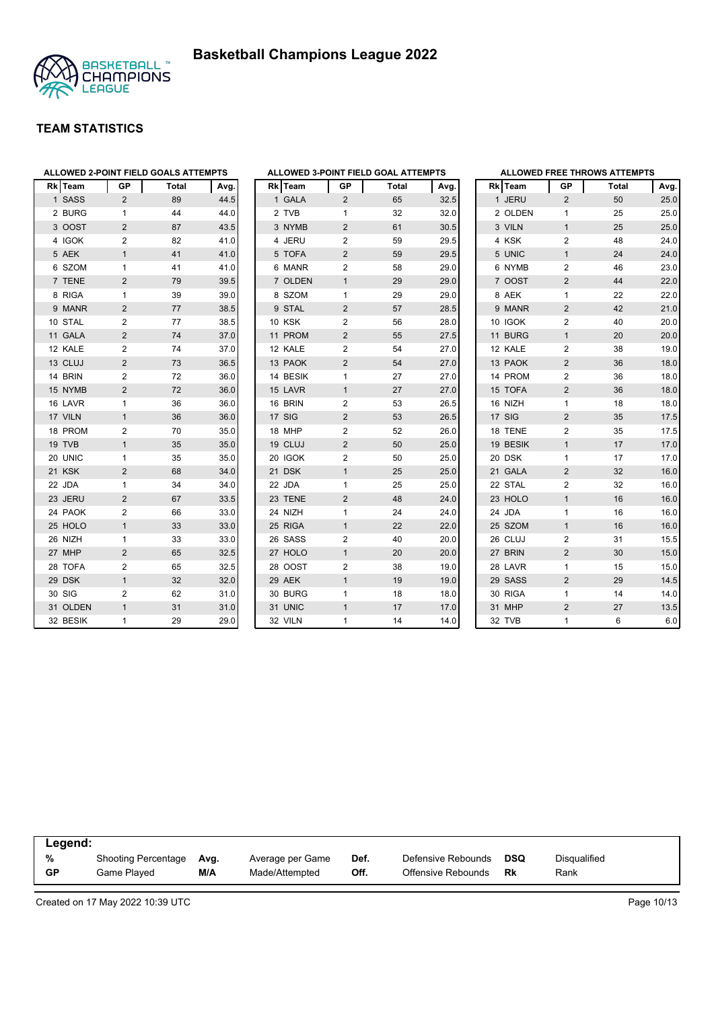



| Rkl | <b>Team</b> | <b>GP</b>      | <b>Total</b> | Avg. |  |
|-----|-------------|----------------|--------------|------|--|
|     | 1 SASS      | $\overline{2}$ | 89           | 44.5 |  |
|     | 2 BURG      | 1              | 44           | 44.0 |  |
|     | 3 OOST      | $\overline{2}$ | 87           | 43.5 |  |
|     | 4 IGOK      | $\overline{2}$ | 82           | 41.0 |  |
|     | 5 AEK       | $\overline{1}$ | 41           | 41.0 |  |
|     | 6 SZOM      | 1              | 41           | 41.0 |  |
|     | 7 TENE      | $\overline{2}$ | 79           | 39.5 |  |
|     | 8 RIGA      | 1              | 39           | 39.0 |  |
|     | 9 MANR      | $\overline{2}$ | 77           | 38.5 |  |
|     | 10 STAL     | 2              | 77           | 38.5 |  |
|     | 11 GALA     | $\overline{2}$ | 74           | 37.0 |  |
|     | 12 KALE     | 2              | 74           | 37.0 |  |
|     | 13 CLUJ     | $\overline{2}$ | 73           | 36.5 |  |
|     | 14 BRIN     | $\overline{2}$ | 72           | 36.0 |  |
|     | 15 NYMB     | $\overline{2}$ | 72           | 36.0 |  |
|     | 16 LAVR     | 1              | 36           | 36.0 |  |
|     | 17 VILN     | 1              | 36           | 36.0 |  |
|     | 18 PROM     | 2              | 70           | 35.0 |  |
|     | 19 TVB      | 1              | 35           | 35.0 |  |
|     | 20 UNIC     | 1              | 35           | 35.0 |  |
|     | 21 KSK      | $\overline{2}$ | 68           | 34.0 |  |
|     | 22 JDA      | 1              | 34           | 34.0 |  |
|     | 23 JERU     | $\overline{2}$ | 67           | 33.5 |  |
|     | 24 PAOK     | $\overline{2}$ | 66           | 33.0 |  |
|     | 25 HOLO     | $\overline{1}$ | 33           | 33.0 |  |
|     | 26 NIZH     | 1              | 33           | 33.0 |  |
|     | 27 MHP      | $\overline{2}$ | 65           | 32.5 |  |
|     | 28 TOFA     | 2              | 65           | 32.5 |  |
|     | 29 DSK      | 1              | 32           | 32.0 |  |
|     | 30 SIG      | 2              | 62           | 31.0 |  |
|     | 31 OLDEN    | $\overline{1}$ | 31           | 31.0 |  |
|     | 32 BESIK    | 1              | 29           | 29.0 |  |

| <b>GP</b><br><b>Rk</b> Team<br>Total<br>Avg.<br><b>GALA</b><br>1<br>$\overline{2}$<br>65<br>32.5<br>32<br>2 TVB<br>1<br>32.0<br>3 NYMB<br>2<br>61<br>30.5<br>4 JERU<br>2<br>59<br>29.5<br><b>TOFA</b><br>5<br>2<br>59<br>29.5<br><b>MANR</b><br>58<br>29.0<br>6<br>2<br>$\mathbf{1}$<br>OLDEN<br>29<br>29.0<br>$\overline{7}$<br>8 SZOM<br>1<br>29<br>29.0<br>9 STAL<br>$\overline{2}$<br>28.5<br>57<br>10<br><b>KSK</b><br>2<br>56<br>28.0<br>11 PROM<br>55<br>2<br>27.5<br>54<br>12 KALE<br>2<br>27.0<br>13 PAOK<br>$\overline{2}$<br>54<br>27.0<br>14 BESIK<br>1<br>27<br>27.0<br>15 LAVR<br>$\mathbf{1}$<br>27<br>27.0<br>16 BRIN<br>$\overline{2}$<br>26.5<br>53<br>17 SIG<br>$\overline{2}$<br>53<br>26.5<br>18 MHP<br>$\overline{2}$<br>52<br>26.0<br>$\overline{2}$<br>19 CLUJ<br>50<br>25.0<br>20 IGOK<br>$\overline{2}$<br>50<br>25.0<br>$\overline{1}$<br>21<br><b>DSK</b><br>25<br>25.0<br>22 JDA<br>1<br>25<br>25.0<br>23 TENE<br>48<br>24.0<br>2<br>24 NIZH<br>1<br>24<br>24.0<br>25 RIGA<br>$\mathbf{1}$<br>22<br>22.0<br>26 SASS<br>$\overline{2}$<br>40<br>20.0<br>27 HOLO<br>$\mathbf{1}$<br>20<br>20.0<br>28 OOST<br>2<br>38<br>19.0<br>29 AEK<br>$\mathbf{1}$<br>19<br>19.0<br>1<br>18<br>18.0<br>30 BURG<br>$\mathbf{1}$<br>17<br>17.0<br>31 UNIC<br>32 VILN<br>1<br>14<br>14.0 |  | ALLOWED 3-POINT FIELD GOAL ATTEMPTS |  |
|------------------------------------------------------------------------------------------------------------------------------------------------------------------------------------------------------------------------------------------------------------------------------------------------------------------------------------------------------------------------------------------------------------------------------------------------------------------------------------------------------------------------------------------------------------------------------------------------------------------------------------------------------------------------------------------------------------------------------------------------------------------------------------------------------------------------------------------------------------------------------------------------------------------------------------------------------------------------------------------------------------------------------------------------------------------------------------------------------------------------------------------------------------------------------------------------------------------------------------------------------------------------------------------------------|--|-------------------------------------|--|
|                                                                                                                                                                                                                                                                                                                                                                                                                                                                                                                                                                                                                                                                                                                                                                                                                                                                                                                                                                                                                                                                                                                                                                                                                                                                                                      |  |                                     |  |
|                                                                                                                                                                                                                                                                                                                                                                                                                                                                                                                                                                                                                                                                                                                                                                                                                                                                                                                                                                                                                                                                                                                                                                                                                                                                                                      |  |                                     |  |
|                                                                                                                                                                                                                                                                                                                                                                                                                                                                                                                                                                                                                                                                                                                                                                                                                                                                                                                                                                                                                                                                                                                                                                                                                                                                                                      |  |                                     |  |
|                                                                                                                                                                                                                                                                                                                                                                                                                                                                                                                                                                                                                                                                                                                                                                                                                                                                                                                                                                                                                                                                                                                                                                                                                                                                                                      |  |                                     |  |
|                                                                                                                                                                                                                                                                                                                                                                                                                                                                                                                                                                                                                                                                                                                                                                                                                                                                                                                                                                                                                                                                                                                                                                                                                                                                                                      |  |                                     |  |
|                                                                                                                                                                                                                                                                                                                                                                                                                                                                                                                                                                                                                                                                                                                                                                                                                                                                                                                                                                                                                                                                                                                                                                                                                                                                                                      |  |                                     |  |
|                                                                                                                                                                                                                                                                                                                                                                                                                                                                                                                                                                                                                                                                                                                                                                                                                                                                                                                                                                                                                                                                                                                                                                                                                                                                                                      |  |                                     |  |
|                                                                                                                                                                                                                                                                                                                                                                                                                                                                                                                                                                                                                                                                                                                                                                                                                                                                                                                                                                                                                                                                                                                                                                                                                                                                                                      |  |                                     |  |
|                                                                                                                                                                                                                                                                                                                                                                                                                                                                                                                                                                                                                                                                                                                                                                                                                                                                                                                                                                                                                                                                                                                                                                                                                                                                                                      |  |                                     |  |
|                                                                                                                                                                                                                                                                                                                                                                                                                                                                                                                                                                                                                                                                                                                                                                                                                                                                                                                                                                                                                                                                                                                                                                                                                                                                                                      |  |                                     |  |
|                                                                                                                                                                                                                                                                                                                                                                                                                                                                                                                                                                                                                                                                                                                                                                                                                                                                                                                                                                                                                                                                                                                                                                                                                                                                                                      |  |                                     |  |
|                                                                                                                                                                                                                                                                                                                                                                                                                                                                                                                                                                                                                                                                                                                                                                                                                                                                                                                                                                                                                                                                                                                                                                                                                                                                                                      |  |                                     |  |
|                                                                                                                                                                                                                                                                                                                                                                                                                                                                                                                                                                                                                                                                                                                                                                                                                                                                                                                                                                                                                                                                                                                                                                                                                                                                                                      |  |                                     |  |
|                                                                                                                                                                                                                                                                                                                                                                                                                                                                                                                                                                                                                                                                                                                                                                                                                                                                                                                                                                                                                                                                                                                                                                                                                                                                                                      |  |                                     |  |
|                                                                                                                                                                                                                                                                                                                                                                                                                                                                                                                                                                                                                                                                                                                                                                                                                                                                                                                                                                                                                                                                                                                                                                                                                                                                                                      |  |                                     |  |
|                                                                                                                                                                                                                                                                                                                                                                                                                                                                                                                                                                                                                                                                                                                                                                                                                                                                                                                                                                                                                                                                                                                                                                                                                                                                                                      |  |                                     |  |
|                                                                                                                                                                                                                                                                                                                                                                                                                                                                                                                                                                                                                                                                                                                                                                                                                                                                                                                                                                                                                                                                                                                                                                                                                                                                                                      |  |                                     |  |
|                                                                                                                                                                                                                                                                                                                                                                                                                                                                                                                                                                                                                                                                                                                                                                                                                                                                                                                                                                                                                                                                                                                                                                                                                                                                                                      |  |                                     |  |
|                                                                                                                                                                                                                                                                                                                                                                                                                                                                                                                                                                                                                                                                                                                                                                                                                                                                                                                                                                                                                                                                                                                                                                                                                                                                                                      |  |                                     |  |
|                                                                                                                                                                                                                                                                                                                                                                                                                                                                                                                                                                                                                                                                                                                                                                                                                                                                                                                                                                                                                                                                                                                                                                                                                                                                                                      |  |                                     |  |
|                                                                                                                                                                                                                                                                                                                                                                                                                                                                                                                                                                                                                                                                                                                                                                                                                                                                                                                                                                                                                                                                                                                                                                                                                                                                                                      |  |                                     |  |
|                                                                                                                                                                                                                                                                                                                                                                                                                                                                                                                                                                                                                                                                                                                                                                                                                                                                                                                                                                                                                                                                                                                                                                                                                                                                                                      |  |                                     |  |
|                                                                                                                                                                                                                                                                                                                                                                                                                                                                                                                                                                                                                                                                                                                                                                                                                                                                                                                                                                                                                                                                                                                                                                                                                                                                                                      |  |                                     |  |
|                                                                                                                                                                                                                                                                                                                                                                                                                                                                                                                                                                                                                                                                                                                                                                                                                                                                                                                                                                                                                                                                                                                                                                                                                                                                                                      |  |                                     |  |
|                                                                                                                                                                                                                                                                                                                                                                                                                                                                                                                                                                                                                                                                                                                                                                                                                                                                                                                                                                                                                                                                                                                                                                                                                                                                                                      |  |                                     |  |
|                                                                                                                                                                                                                                                                                                                                                                                                                                                                                                                                                                                                                                                                                                                                                                                                                                                                                                                                                                                                                                                                                                                                                                                                                                                                                                      |  |                                     |  |
|                                                                                                                                                                                                                                                                                                                                                                                                                                                                                                                                                                                                                                                                                                                                                                                                                                                                                                                                                                                                                                                                                                                                                                                                                                                                                                      |  |                                     |  |
|                                                                                                                                                                                                                                                                                                                                                                                                                                                                                                                                                                                                                                                                                                                                                                                                                                                                                                                                                                                                                                                                                                                                                                                                                                                                                                      |  |                                     |  |
|                                                                                                                                                                                                                                                                                                                                                                                                                                                                                                                                                                                                                                                                                                                                                                                                                                                                                                                                                                                                                                                                                                                                                                                                                                                                                                      |  |                                     |  |
|                                                                                                                                                                                                                                                                                                                                                                                                                                                                                                                                                                                                                                                                                                                                                                                                                                                                                                                                                                                                                                                                                                                                                                                                                                                                                                      |  |                                     |  |
|                                                                                                                                                                                                                                                                                                                                                                                                                                                                                                                                                                                                                                                                                                                                                                                                                                                                                                                                                                                                                                                                                                                                                                                                                                                                                                      |  |                                     |  |
|                                                                                                                                                                                                                                                                                                                                                                                                                                                                                                                                                                                                                                                                                                                                                                                                                                                                                                                                                                                                                                                                                                                                                                                                                                                                                                      |  |                                     |  |
|                                                                                                                                                                                                                                                                                                                                                                                                                                                                                                                                                                                                                                                                                                                                                                                                                                                                                                                                                                                                                                                                                                                                                                                                                                                                                                      |  |                                     |  |

|              |                | <b>ALLOWED FREE THROWS ATTEMPTS</b> |              |      |  |  |  |  |  |  |  |  |
|--------------|----------------|-------------------------------------|--------------|------|--|--|--|--|--|--|--|--|
|              | <b>Rk</b> Team | <b>GP</b>                           | <b>Total</b> | Avg. |  |  |  |  |  |  |  |  |
| $\mathbf{1}$ | <b>JERU</b>    | 2                                   | 50           | 25.0 |  |  |  |  |  |  |  |  |
| 2            | <b>OLDEN</b>   | 1                                   | 25           | 25.0 |  |  |  |  |  |  |  |  |
|              | 3 VILN         | $\overline{1}$                      | 25           | 25.0 |  |  |  |  |  |  |  |  |
| 4            | <b>KSK</b>     | 2                                   | 48           | 24.0 |  |  |  |  |  |  |  |  |
| 5            | <b>UNIC</b>    | $\mathbf{1}$                        | 24           | 24.0 |  |  |  |  |  |  |  |  |
| 6            | <b>NYMB</b>    | 2                                   | 46           | 23.0 |  |  |  |  |  |  |  |  |
|              | 7 OOST         | $\overline{2}$                      | 44           | 22.0 |  |  |  |  |  |  |  |  |
| 8            | AEK            | 1                                   | 22           | 22.0 |  |  |  |  |  |  |  |  |
|              | 9 MANR         | $\overline{2}$                      | 42           | 21.0 |  |  |  |  |  |  |  |  |
|              | 10 IGOK        | $\overline{2}$                      | 40           | 20.0 |  |  |  |  |  |  |  |  |
|              | 11 BURG        | $\overline{1}$                      | 20           | 20.0 |  |  |  |  |  |  |  |  |
|              | 12 KALE        | 2                                   | 38           | 19.0 |  |  |  |  |  |  |  |  |
|              | 13 PAOK        | $\overline{2}$                      | 36           | 18.0 |  |  |  |  |  |  |  |  |
|              | 14 PROM        | $\overline{2}$                      | 36           | 18.0 |  |  |  |  |  |  |  |  |
|              | 15 TOFA        | $\overline{2}$                      | 36           | 18.0 |  |  |  |  |  |  |  |  |
|              | 16 NIZH        | 1                                   | 18           | 18.0 |  |  |  |  |  |  |  |  |
|              | 17 SIG         | $\overline{2}$                      | 35           | 17.5 |  |  |  |  |  |  |  |  |
|              | 18 TENE        | 2                                   | 35           | 17.5 |  |  |  |  |  |  |  |  |
|              | 19 BESIK       | $\mathbf{1}$                        | 17           | 17.0 |  |  |  |  |  |  |  |  |
|              | 20 DSK         | 1                                   | 17           | 17.0 |  |  |  |  |  |  |  |  |
|              | 21 GALA        | $\overline{2}$                      | 32           | 16.0 |  |  |  |  |  |  |  |  |
|              | 22 STAL        | 2                                   | 32           | 16.0 |  |  |  |  |  |  |  |  |
|              | 23 HOLO        | 1                                   | 16           | 16.0 |  |  |  |  |  |  |  |  |
|              | 24 JDA         | $\mathbf{1}$                        | 16           | 16.0 |  |  |  |  |  |  |  |  |
|              | 25 SZOM        | $\overline{1}$                      | 16           | 16.0 |  |  |  |  |  |  |  |  |
|              | 26 CLUJ        | $\overline{2}$                      | 31           | 15.5 |  |  |  |  |  |  |  |  |
|              | 27 BRIN        | $\overline{2}$                      | 30           | 15.0 |  |  |  |  |  |  |  |  |
|              | 28 LAVR        | 1                                   | 15           | 15.0 |  |  |  |  |  |  |  |  |
|              | 29 SASS        | $\overline{2}$                      | 29           | 14.5 |  |  |  |  |  |  |  |  |
|              | 30 RIGA        | 1                                   | 14           | 14.0 |  |  |  |  |  |  |  |  |
| 31           | <b>MHP</b>     | $\overline{2}$                      | 27           | 13.5 |  |  |  |  |  |  |  |  |
|              | 32 TVB         | 1                                   | 6            | 6.0  |  |  |  |  |  |  |  |  |

|    | Legend:                    |      |                  |      |                    |     |              |  |  |  |  |
|----|----------------------------|------|------------------|------|--------------------|-----|--------------|--|--|--|--|
| %  | <b>Shooting Percentage</b> | Avg. | Average per Game | Def. | Defensive Rebounds | DSQ | Disqualified |  |  |  |  |
| GP | Game Played                | M/A  | Made/Attempted   | Off. | Offensive Rebounds | Rk  | Rank         |  |  |  |  |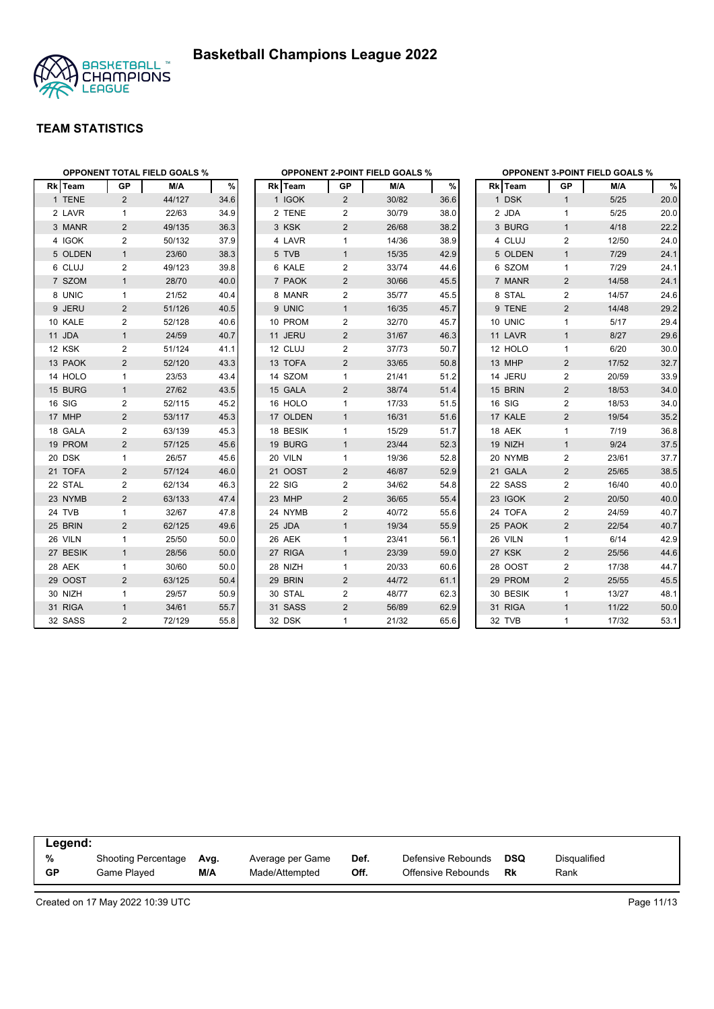



|          | <b>OPPONENT TOTAL FIELD GOALS %</b> |        |      |          |                | <b>OPPONENT 2-POINT FIELD GOALS %</b> |      |          |                | <b>OPPONENT 3-POINT FIELD GOALS %</b> |      |
|----------|-------------------------------------|--------|------|----------|----------------|---------------------------------------|------|----------|----------------|---------------------------------------|------|
| Rk Team  | GP                                  | M/A    | %    | Rk Team  | GP             | M/A                                   | %    | Rk Team  | GP             | M/A                                   | %    |
| 1 TENE   | $\overline{2}$                      | 44/127 | 34.6 | 1 IGOK   | $\overline{2}$ | 30/82                                 | 36.6 | 1 DSK    | $\mathbf{1}$   | $5/25$                                | 20.0 |
| 2 LAVR   | 1                                   | 22/63  | 34.9 | 2 TENE   | 2              | 30/79                                 | 38.0 | 2 JDA    | 1              | 5/25                                  | 20.0 |
| 3 MANR   | $\overline{2}$                      | 49/135 | 36.3 | 3 KSK    | $\overline{2}$ | 26/68                                 | 38.2 | 3 BURG   | $\mathbf{1}$   | 4/18                                  | 22.2 |
| 4 IGOK   | 2                                   | 50/132 | 37.9 | 4 LAVR   | $\mathbf{1}$   | 14/36                                 | 38.9 | 4 CLUJ   | 2              | 12/50                                 | 24.0 |
| 5 OLDEN  | $\mathbf{1}$                        | 23/60  | 38.3 | 5 TVB    | $\mathbf{1}$   | 15/35                                 | 42.9 | 5 OLDEN  | $\mathbf{1}$   | 7/29                                  | 24.1 |
| 6 CLUJ   | 2                                   | 49/123 | 39.8 | 6 KALE   | 2              | 33/74                                 | 44.6 | 6 SZOM   | $\mathbf{1}$   | 7/29                                  | 24.1 |
| 7 SZOM   | $\mathbf{1}$                        | 28/70  | 40.0 | 7 PAOK   | $\overline{2}$ | 30/66                                 | 45.5 | 7 MANR   | 2              | 14/58                                 | 24.1 |
| 8 UNIC   | $\mathbf{1}$                        | 21/52  | 40.4 | 8 MANR   | 2              | 35/77                                 | 45.5 | 8 STAL   | 2              | 14/57                                 | 24.6 |
| 9 JERU   | $\overline{2}$                      | 51/126 | 40.5 | 9 UNIC   | $\mathbf{1}$   | 16/35                                 | 45.7 | 9 TENE   | $\overline{2}$ | 14/48                                 | 29.2 |
| 10 KALE  | 2                                   | 52/128 | 40.6 | 10 PROM  | 2              | 32/70                                 | 45.7 | 10 UNIC  | $\mathbf{1}$   | 5/17                                  | 29.4 |
| 11 JDA   | $\mathbf{1}$                        | 24/59  | 40.7 | 11 JERU  | $\overline{2}$ | 31/67                                 | 46.3 | 11 LAVR  | $\mathbf{1}$   | 8/27                                  | 29.6 |
| 12 KSK   | 2                                   | 51/124 | 41.1 | 12 CLUJ  | 2              | 37/73                                 | 50.7 | 12 HOLO  | $\mathbf{1}$   | 6/20                                  | 30.0 |
| 13 PAOK  | $\overline{2}$                      | 52/120 | 43.3 | 13 TOFA  | $\overline{2}$ | 33/65                                 | 50.8 | 13 MHP   | 2              | 17/52                                 | 32.7 |
| 14 HOLO  | $\mathbf{1}$                        | 23/53  | 43.4 | 14 SZOM  | $\mathbf{1}$   | 21/41                                 | 51.2 | 14 JERU  | $\mathbf{2}$   | 20/59                                 | 33.9 |
| 15 BURG  | $\mathbf{1}$                        | 27/62  | 43.5 | 15 GALA  | $\overline{2}$ | 38/74                                 | 51.4 | 15 BRIN  | $\overline{2}$ | 18/53                                 | 34.0 |
| 16 SIG   | 2                                   | 52/115 | 45.2 | 16 HOLO  | $\mathbf{1}$   | 17/33                                 | 51.5 | 16 SIG   | 2              | 18/53                                 | 34.0 |
| 17 MHP   | $\overline{2}$                      | 53/117 | 45.3 | 17 OLDEN | $\mathbf{1}$   | 16/31                                 | 51.6 | 17 KALE  | 2              | 19/54                                 | 35.2 |
| 18 GALA  | 2                                   | 63/139 | 45.3 | 18 BESIK | 1              | 15/29                                 | 51.7 | 18 AEK   | $\mathbf{1}$   | 7/19                                  | 36.8 |
| 19 PROM  | $\overline{2}$                      | 57/125 | 45.6 | 19 BURG  | $\mathbf{1}$   | 23/44                                 | 52.3 | 19 NIZH  | $\mathbf{1}$   | 9/24                                  | 37.5 |
| 20 DSK   | 1                                   | 26/57  | 45.6 | 20 VILN  | 1              | 19/36                                 | 52.8 | 20 NYMB  | 2              | 23/61                                 | 37.7 |
| 21 TOFA  | $\overline{2}$                      | 57/124 | 46.0 | 21 OOST  | $\overline{2}$ | 46/87                                 | 52.9 | 21 GALA  | $\overline{2}$ | 25/65                                 | 38.5 |
| 22 STAL  | 2                                   | 62/134 | 46.3 | 22 SIG   | 2              | 34/62                                 | 54.8 | 22 SASS  | 2              | 16/40                                 | 40.0 |
| 23 NYMB  | $\overline{2}$                      | 63/133 | 47.4 | 23 MHP   | $\overline{2}$ | 36/65                                 | 55.4 | 23 IGOK  | 2              | 20/50                                 | 40.0 |
| 24 TVB   | $\mathbf{1}$                        | 32/67  | 47.8 | 24 NYMB  | 2              | 40/72                                 | 55.6 | 24 TOFA  | 2              | 24/59                                 | 40.7 |
| 25 BRIN  | $\overline{2}$                      | 62/125 | 49.6 | 25 JDA   | $\mathbf{1}$   | 19/34                                 | 55.9 | 25 PAOK  | $\overline{2}$ | 22/54                                 | 40.7 |
| 26 VILN  | $\mathbf{1}$                        | 25/50  | 50.0 | 26 AEK   | $\mathbf{1}$   | 23/41                                 | 56.1 | 26 VILN  | $\mathbf{1}$   | 6/14                                  | 42.9 |
| 27 BESIK | $\mathbf{1}$                        | 28/56  | 50.0 | 27 RIGA  | $\mathbf{1}$   | 23/39                                 | 59.0 | 27 KSK   | $\overline{2}$ | 25/56                                 | 44.6 |
| 28 AEK   | $\mathbf{1}$                        | 30/60  | 50.0 | 28 NIZH  | 1              | 20/33                                 | 60.6 | 28 OOST  | 2              | 17/38                                 | 44.7 |
| 29 OOST  | $\overline{2}$                      | 63/125 | 50.4 | 29 BRIN  | $\overline{2}$ | 44/72                                 | 61.1 | 29 PROM  | 2              | 25/55                                 | 45.5 |
| 30 NIZH  | 1                                   | 29/57  | 50.9 | 30 STAL  | $\overline{2}$ | 48/77                                 | 62.3 | 30 BESIK | $\mathbf{1}$   | 13/27                                 | 48.1 |
| 31 RIGA  | $\mathbf{1}$                        | 34/61  | 55.7 | 31 SASS  | $\overline{2}$ | 56/89                                 | 62.9 | 31 RIGA  | $\mathbf{1}$   | 11/22                                 | 50.0 |
| 32 SASS  | 2                                   | 72/129 | 55.8 | 32 DSK   | 1              | 21/32                                 | 65.6 | 32 TVB   | $\mathbf{1}$   | 17/32                                 | 53.1 |

| Legend:        |                            |      |                                    |              |                                          |                  |                      |  |  |  |
|----------------|----------------------------|------|------------------------------------|--------------|------------------------------------------|------------------|----------------------|--|--|--|
| %<br><b>GP</b> | <b>Shooting Percentage</b> | Avg. | Average per Game<br>Made/Attempted | Def.<br>Off. | Defensive Rebounds<br>Offensive Rebounds | <b>DSQ</b><br>Rk | Disqualified<br>Rank |  |  |  |
|                | Game Played                | M/A  |                                    |              |                                          |                  |                      |  |  |  |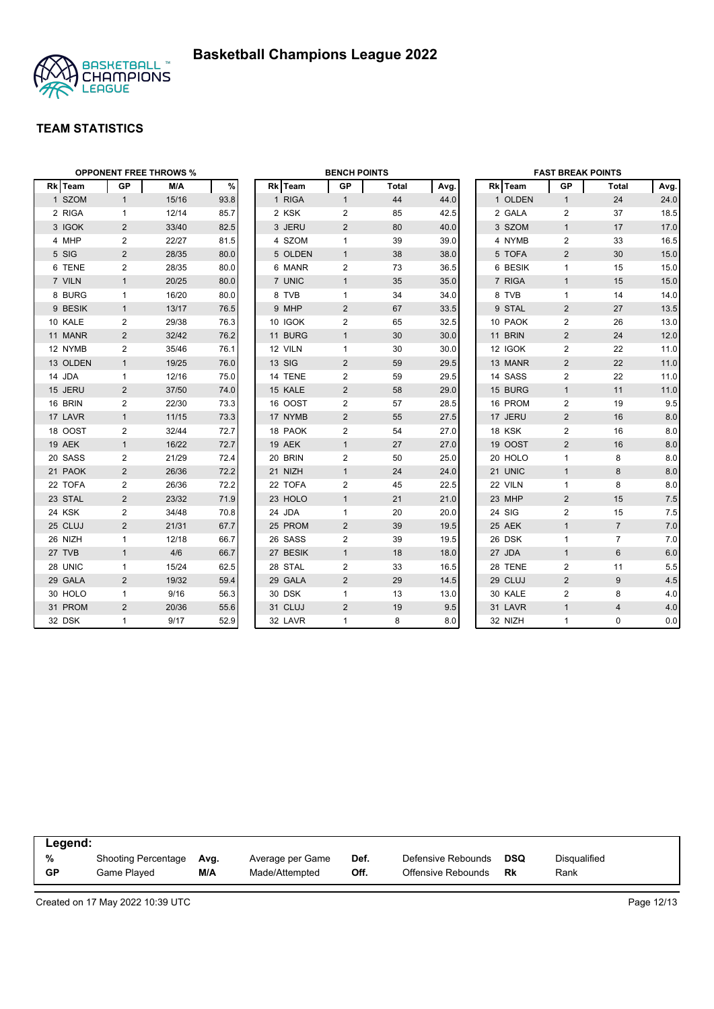



| <b>OPPONENT FREE THROWS %</b> |                |       |      | <b>BENCH POINTS</b> |                |              |      | <b>FAST BREAK POINTS</b> |                |                         |        |
|-------------------------------|----------------|-------|------|---------------------|----------------|--------------|------|--------------------------|----------------|-------------------------|--------|
| Rk Team                       | GP             | M/A   | %    | Rk Team             | GP             | <b>Total</b> | Avg. | Rk Team                  | GP             | Total                   | Avg.   |
| 1 SZOM                        | $\mathbf{1}$   | 15/16 | 93.8 | 1 RIGA              | $\mathbf{1}$   | 44           | 44.0 | 1 OLDEN                  | $\mathbf{1}$   | 24                      | 24.0   |
| 2 RIGA                        | $\mathbf{1}$   | 12/14 | 85.7 | 2 KSK               | $\overline{c}$ | 85           | 42.5 | 2 GALA                   | $\overline{2}$ | 37                      | 18.5   |
| 3 IGOK                        | 2              | 33/40 | 82.5 | 3 JERU              | $\overline{2}$ | 80           | 40.0 | 3 SZOM                   | $\mathbf{1}$   | 17                      | 17.0   |
| 4 MHP                         | $\overline{2}$ | 22/27 | 81.5 | 4 SZOM              | $\mathbf{1}$   | 39           | 39.0 | 4 NYMB                   | 2              | 33                      | 16.5   |
| 5 SIG                         | 2              | 28/35 | 80.0 | 5 OLDEN             | $\mathbf{1}$   | 38           | 38.0 | 5 TOFA                   | $\overline{2}$ | 30                      | 15.0   |
| 6 TENE                        | 2              | 28/35 | 80.0 | 6 MANR              | $\overline{c}$ | 73           | 36.5 | 6 BESIK                  | $\mathbf{1}$   | 15                      | 15.0   |
| 7 VILN                        | $\mathbf{1}$   | 20/25 | 80.0 | 7 UNIC              | $\mathbf{1}$   | 35           | 35.0 | 7 RIGA                   | $\mathbf{1}$   | 15                      | 15.0   |
| 8 BURG                        | $\mathbf{1}$   | 16/20 | 80.0 | 8 TVB               | 1              | 34           | 34.0 | 8 TVB                    | $\mathbf{1}$   | 14                      | 14.0   |
| 9 BESIK                       | $\mathbf{1}$   | 13/17 | 76.5 | 9 MHP               | $\overline{2}$ | 67           | 33.5 | 9 STAL                   | $\overline{2}$ | 27                      | 13.5   |
| 10 KALE                       | 2              | 29/38 | 76.3 | 10 IGOK             | 2              | 65           | 32.5 | 10 PAOK                  | 2              | 26                      | 13.0   |
| 11 MANR                       | 2              | 32/42 | 76.2 | 11 BURG             | $\mathbf{1}$   | 30           | 30.0 | 11 BRIN                  | $\overline{2}$ | 24                      | $12.0$ |
| 12 NYMB                       | 2              | 35/46 | 76.1 | 12 VILN             | 1              | 30           | 30.0 | 12 IGOK                  | 2              | 22                      | 11.0   |
| 13 OLDEN                      | $\mathbf{1}$   | 19/25 | 76.0 | <b>13 SIG</b>       | $\overline{2}$ | 59           | 29.5 | 13 MANR                  | $\overline{2}$ | 22                      | $11.0$ |
| 14 JDA                        | 1              | 12/16 | 75.0 | 14 TENE             | 2              | 59           | 29.5 | 14 SASS                  | $\overline{2}$ | 22                      | 11.0   |
| 15 JERU                       | 2              | 37/50 | 74.0 | 15 KALE             | $\overline{2}$ | 58           | 29.0 | 15 BURG                  | $\mathbf{1}$   | 11                      | 11.0   |
| 16 BRIN                       | 2              | 22/30 | 73.3 | 16 OOST             | $\overline{c}$ | 57           | 28.5 | 16 PROM                  | $\overline{2}$ | 19                      | 9.5    |
| 17 LAVR                       | $\mathbf{1}$   | 11/15 | 73.3 | 17 NYMB             | 2              | 55           | 27.5 | 17 JERU                  | $\overline{2}$ | 16                      | 8.0    |
| 18 OOST                       | 2              | 32/44 | 72.7 | 18 PAOK             | 2              | 54           | 27.0 | 18 KSK                   | 2              | 16                      | 8.0    |
| 19 AEK                        | $\mathbf{1}$   | 16/22 | 72.7 | 19 AEK              | $\mathbf{1}$   | 27           | 27.0 | 19 OOST                  | 2              | 16                      | 8.0    |
| 20 SASS                       | 2              | 21/29 | 72.4 | 20 BRIN             | 2              | 50           | 25.0 | 20 HOLO                  | $\mathbf{1}$   | 8                       | 8.0    |
| 21 PAOK                       | 2              | 26/36 | 72.2 | 21 NIZH             | $\mathbf{1}$   | 24           | 24.0 | 21 UNIC                  | $\mathbf{1}$   | 8                       | 8.0    |
| 22 TOFA                       | 2              | 26/36 | 72.2 | 22 TOFA             | $\overline{c}$ | 45           | 22.5 | 22 VILN                  | 1              | 8                       | 8.0    |
| 23 STAL                       | 2              | 23/32 | 71.9 | 23 HOLO             | $\mathbf{1}$   | 21           | 21.0 | 23 MHP                   | $\overline{2}$ | 15                      | 7.5    |
| 24 KSK                        | 2              | 34/48 | 70.8 | 24 JDA              | $\mathbf{1}$   | 20           | 20.0 | 24 SIG                   | $\overline{2}$ | 15                      | 7.5    |
| 25 CLUJ                       | 2              | 21/31 | 67.7 | 25 PROM             | $\overline{2}$ | 39           | 19.5 | 25 AEK                   | $\mathbf{1}$   | $\overline{7}$          | 7.0    |
| 26 NIZH                       | $\mathbf{1}$   | 12/18 | 66.7 | 26 SASS             | $\mathbf{2}$   | 39           | 19.5 | 26 DSK                   | $\mathbf{1}$   | $\overline{7}$          | 7.0    |
| 27 TVB                        | $\mathbf{1}$   | 4/6   | 66.7 | 27 BESIK            | $\mathbf{1}$   | 18           | 18.0 | 27 JDA                   | $\mathbf{1}$   | $6\phantom{1}$          | 6.0    |
| 28 UNIC                       | $\mathbf{1}$   | 15/24 | 62.5 | 28 STAL             | 2              | 33           | 16.5 | 28 TENE                  | 2              | 11                      | 5.5    |
| 29 GALA                       | 2              | 19/32 | 59.4 | 29 GALA             | $\overline{2}$ | 29           | 14.5 | 29 CLUJ                  | $\overline{2}$ | 9                       | 4.5    |
| 30 HOLO                       | $\mathbf{1}$   | 9/16  | 56.3 | 30 DSK              | $\mathbf{1}$   | 13           | 13.0 | 30 KALE                  | $\overline{2}$ | 8                       | 4.0    |
| 31 PROM                       | 2              | 20/36 | 55.6 | 31 CLUJ             | $\overline{c}$ | 19           | 9.5  | 31 LAVR                  | $\mathbf{1}$   | $\overline{\mathbf{4}}$ | 4.0    |
| 32 DSK                        | $\mathbf{1}$   | 9/17  | 52.9 | 32 LAVR             | 1              | 8            | 8.0  | 32 NIZH                  | 1              | $\pmb{0}$               | 0.0    |

| Legend:   |                     |      |                  |      |                    |            |              |  |  |
|-----------|---------------------|------|------------------|------|--------------------|------------|--------------|--|--|
| %         | Shooting Percentage | Avg. | Average per Game | Def. | Defensive Rebounds | <b>DSQ</b> | Disqualified |  |  |
| <b>GP</b> | Game Played         | M/A  | Made/Attempted   | Off. | Offensive Rebounds | Rk         | Rank         |  |  |